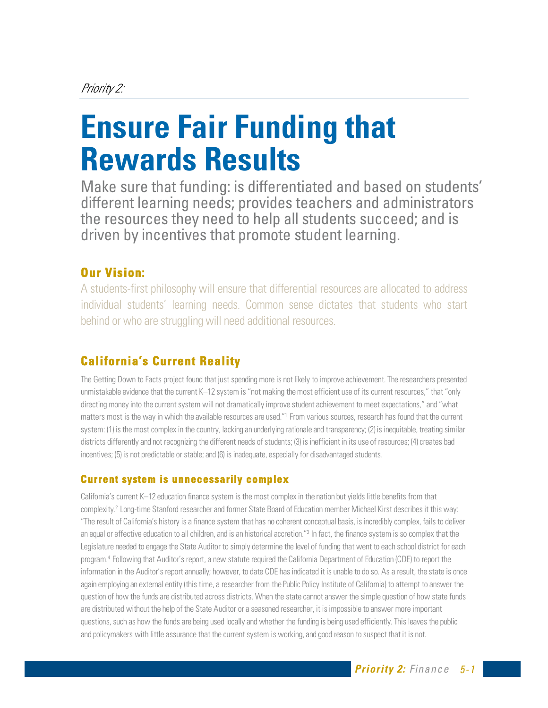# Priority 2:

# **Ensure Fair Funding that Rewards Results**

Make sure that funding: is differentiated and based on students' different learning needs; provides teachers and administrators the resources they need to help all students succeed; and is driven by incentives that promote student learning.

# **Our Vision:**

A students-first philosophy will ensure that differential resources are allocated to address individual students' learning needs. Common sense dictates that students who start behind or who are struggling will need additional resources.

# **California's Current Reality**

The Getting Down to Facts project found that just spending more is not likely to improve achievement. The researchers presented unmistakable evidence that the current K–12 system is "not making the most efficient use of its current resources," that "only directing money into the current system will not dramatically improve student achievement to meet expectations," and "what matters most is the way in which the available resources are used."1 From various sources, research has found that the current system: (1) is the most complex in the country, lacking an underlying rationale and transparency; (2) is inequitable, treating similar districts differently and not recognizing the different needs of students; (3) is inefficient in its use of resources; (4) creates bad incentives; (5) is not predictable or stable; and (6) is inadequate, especially for disadvantaged students.

# **Current system is unnecessarily complex**

California's current K–12 education finance system is the most complex in the nation but yields little benefits from that complexity. 2 Long-time Stanford researcher and former State Board of Education member Michael Kirst describes it this way: "The result of California's history is a finance system that has no coherent conceptual basis, is incredibly complex, fails to deliver an equal or effective education to all children, and is an historical accretion."<sup>3</sup> In fact, the finance system is so complex that the Legislature needed to engage the State Auditor to simply determine the level of funding that went to each school district for each program.4 Following that Auditor's report, a new statute required the California Department of Education (CDE) to report the information in the Auditor's report annually; however, to date CDE has indicated it is unable to do so. As a result, the state is once again employing an external entity (this time, a researcher from the Public Policy Institute of California) to attempt to answer the question of how the funds are distributed across districts. When the state cannot answer the simple question of how state funds are distributed without the help of the State Auditor or a seasoned researcher, it is impossible to answer more important questions, such as how the funds are being used locally and whether the funding is being used efficiently. This leaves the public and policymakers with little assurance that the current system is working, and good reason to suspect that it is not.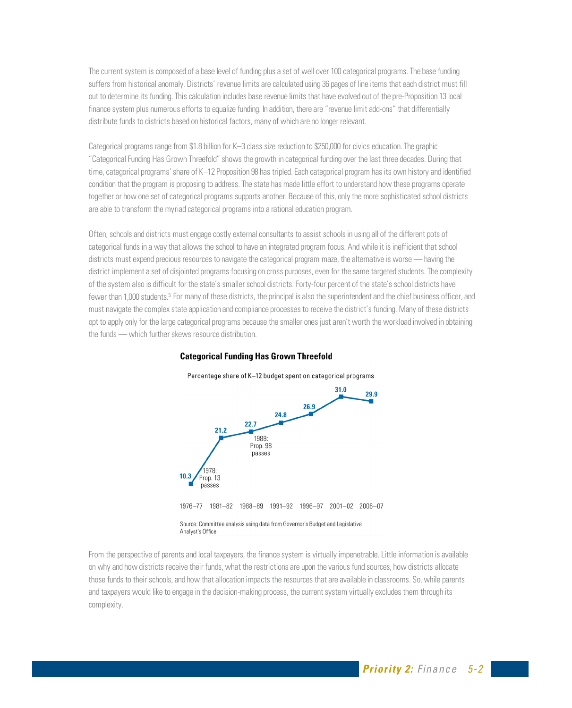The current system is composed of a base level of funding plus a set of well over 100 categorical programs. The base funding suffers from historical anomaly. Districts' revenue limits are calculated using 36 pages of line items that each district must fill out to determine its funding. This calculation includes base revenue limits that have evolved out of the pre-Proposition 13 local finance system plus numerous efforts to equalize funding. In addition, there are "revenue limit add-ons" that differentially distribute funds to districts based on historical factors, many of which are no longer relevant.

Categorical programs range from \$1.8 billion for K–3 class size reduction to \$250,000 for civics education. The graphic "Categorical Funding Has Grown Threefold" shows the growth in categorical funding over the last three decades. During that time, categorical programs' share of K–12 Proposition 98 has tripled. Each categorical program has its own history and identified condition that the program is proposing to address. The state has made little effort to understand how these programs operate together or how one set of categorical programs supports another. Because of this, only the more sophisticated school districts are able to transform the myriad categorical programs into a rational education program.

Often, schools and districts must engage costly external consultants to assist schools in using all of the different pots of categorical funds in a way that allows the school to have an integrated program focus. And while it is inefficient that school districts must expend precious resources to navigate the categorical program maze, the alternative is worse — having the district implement a set of disjointed programs focusing on cross purposes, even for the same targeted students. The complexity of the system also is difficult for the state's smaller school districts. Forty-four percent of the state's school districts have fewer than 1,000 students.5 For many of these districts, the principal is also the superintendent and the chief business officer, and must navigate the complex state application and compliance processes to receive the district's funding. Many of these districts opt to apply only for the large categorical programs because the smaller ones just aren't worth the workload involved in obtaining the funds — which further skews resource distribution.



#### From the perspective of parents and local taxpayers, the finance system is virtually impenetrable. Little information is available on why and how districts receive their funds, what the restrictions are upon the various fund sources, how districts allocate those funds to their schools, and how that allocation impacts the resources that are available in classrooms. So, while parents and taxpayers would like to engage in the decision-making process, the current system virtually excludes them through its complexity.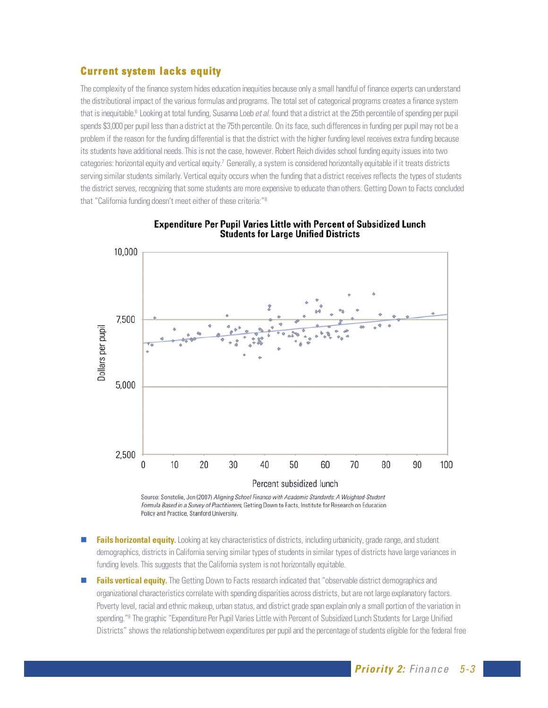#### **Current system lacks equity**

The complexity of the finance system hides education inequities because only a small handful of finance experts can understand the distributional impact of the various formulas and programs. The total set of categorical programs creates a finance system that is inequitable.<sup>6</sup> Looking at total funding, Susanna Loeb *et al.* found that a district at the 25th percentile of spending per pupil spends \$3,000 per pupil less than a district at the 75th percentile. On its face, such differences in funding per pupil may not be a problem if the reason for the funding differential is that the district with the higher funding level receives extra funding because its students have additional needs. This is not the case, however. Robert Reich divides school funding equity issues into two categories: horizontal equity and vertical equity.<sup>7</sup> Generally, a system is considered horizontally equitable if it treats districts serving similar students similarly. Vertical equity occurs when the funding that a district receives reflects the types of students the district serves, recognizing that some students are more expensive to educate than others. Getting Down to Facts concluded that "California funding doesn't meet either of these criteria:"8



**Expenditure Per Pupil Varies Little with Percent of Subsidized Lunch Students for Large Unified Districts** 

Source: Sonstelie, Jon (2007) Aligning School Finance with Academic Standards: A Weighted-Student Formula Based in a Survey of Practitioners, Getting Down to Facts, Institute for Research on Education Policy and Practice, Stanford University.

- **Fails horizontal equity.** Looking at key characteristics of districts, including urbanicity, grade range, and student demographics, districts in California serving similar types of students in similar types of districts have large variances in funding levels. This suggests that the California system is not horizontally equitable.
- **Fails vertical equity.** The Getting Down to Facts research indicated that "observable district demographics and organizational characteristics correlate with spending disparities across districts, but are not large explanatory factors. Poverty level, racial and ethnic makeup, urban status, and district grade span explain only a small portion of the variation in spending."<sup>9</sup> The graphic "Expenditure Per Pupil Varies Little with Percent of Subsidized Lunch Students for Large Unified Districts" shows the relationship between expenditures per pupil and the percentage of students eligible for the federal free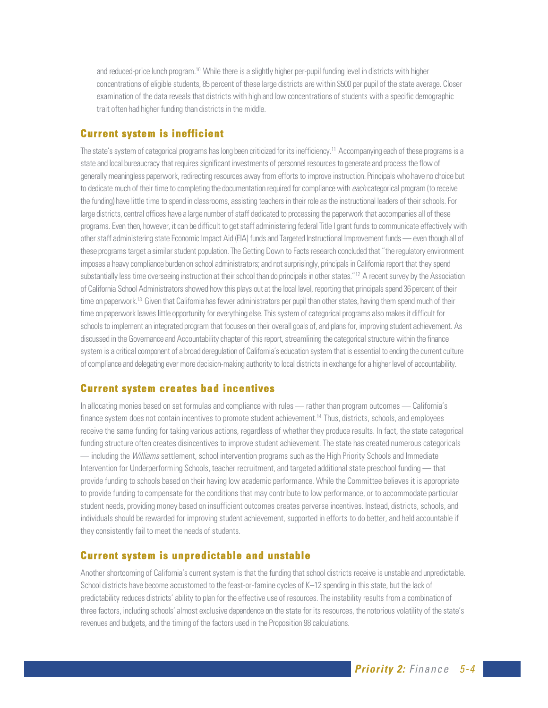and reduced-price lunch program.10 While there is a slightly higher per-pupil funding level in districts with higher concentrations of eligible students, 85 percent of these large districts are within \$500 per pupil of the state average. Closer examination of the data reveals that districts with high and low concentrations of students with a specific demographic trait often had higher funding than districts in the middle.

#### **Current system is inefficient**

The state's system of categorical programs has long been criticized for its inefficiency.<sup>11</sup> Accompanying each of these programs is a state and local bureaucracy that requires significant investments of personnel resources to generate and process the flow of generally meaningless paperwork, redirecting resources away from efforts to improve instruction. Principals who have no choice but to dedicate much of their time to completing the documentation required for compliance with each categorical program (to receive the funding) have little time to spend in classrooms, assisting teachers in their role as the instructional leaders of their schools. For large districts, central offices have a large number of staff dedicated to processing the paperwork that accompanies all of these programs. Even then, however, it can be difficult to get staff administering federal Title I grant funds to communicate effectively with other staff administering state Economic Impact Aid (EIA) funds and Targeted Instructional Improvement funds — even though all of these programs target a similar student population. The Getting Down to Facts research concluded that "the regulatory environment imposes a heavy compliance burden on school administrators; and not surprisingly, principals in California report that they spend substantially less time overseeing instruction at their school than do principals in other states."<sup>12</sup> A recent survey by the Association of California School Administrators showed how this plays out at the local level, reporting that principals spend 36 percent of their time on paperwork.<sup>13</sup> Given that California has fewer administrators per pupil than other states, having them spend much of their time on paperwork leaves little opportunity for everything else. This system of categorical programs also makes it difficult for schools to implement an integrated program that focuses on their overall goals of, and plans for, improving student achievement. As discussed in the Governance and Accountability chapter of this report, streamlining the categorical structure within the finance system is a critical component of a broad deregulation of California's education system that is essential to ending the current culture of compliance and delegating ever more decision-making authority to local districts in exchange for a higher level of accountability.

#### **Current system creates bad incentives**

In allocating monies based on set formulas and compliance with rules — rather than program outcomes — California's finance system does not contain incentives to promote student achievement.<sup>14</sup> Thus, districts, schools, and employees receive the same funding for taking various actions, regardless of whether they produce results. In fact, the state categorical funding structure often creates disincentives to improve student achievement. The state has created numerous categoricals — including the *Williams* settlement, school intervention programs such as the High Priority Schools and Immediate Intervention for Underperforming Schools, teacher recruitment, and targeted additional state preschool funding — that provide funding to schools based on their having low academic performance. While the Committee believes it is appropriate to provide funding to compensate for the conditions that may contribute to low performance, or to accommodate particular student needs, providing money based on insufficient outcomes creates perverse incentives. Instead, districts, schools, and individuals should be rewarded for improving student achievement, supported in efforts to do better, and held accountable if they consistently fail to meet the needs of students.

#### **Current system is unpredictable and unstable**

Another shortcoming of California's current system is that the funding that school districts receive is unstable and unpredictable. School districts have become accustomed to the feast-or-famine cycles of K–12 spending in this state, but the lack of predictability reduces districts' ability to plan for the effective use of resources. The instability results from a combination of three factors, including schools' almost exclusive dependence on the state for its resources, the notorious volatility of the state's revenues and budgets, and the timing of the factors used in the Proposition 98 calculations.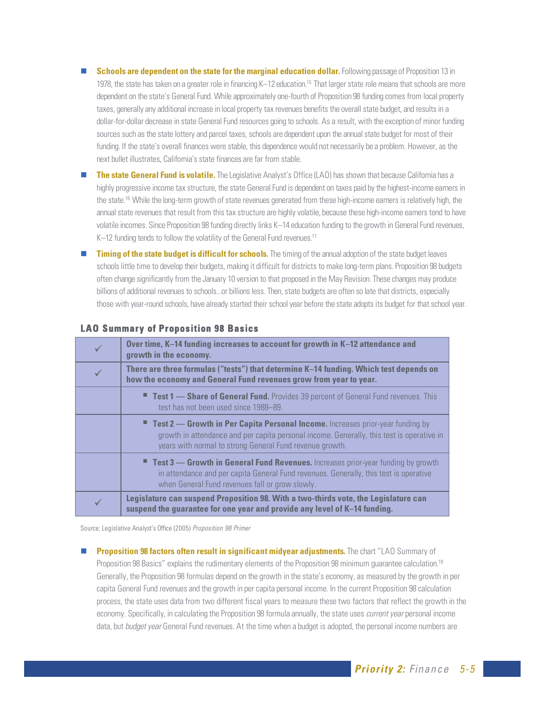- **Schools are dependent on the state for the marginal education dollar.** Following passage of Proposition 13 in 1978, the state has taken on a greater role in financing K–12 education.<sup>15</sup> That larger state role means that schools are more dependent on the state's General Fund. While approximately one-fourth of Proposition 98 funding comes from local property taxes, generally any additional increase in local property tax revenues benefits the overall state budget, and results in a dollar-for-dollar decrease in state General Fund resources going to schools. As a result, with the exception of minor funding sources such as the state lottery and parcel taxes, schools are dependent upon the annual state budget for most of their funding. If the state's overall finances were stable, this dependence would not necessarily be a problem. However, as the next bullet illustrates, California's state finances are far from stable.
- **The state General Fund is volatile.** The Legislative Analyst's Office (LAO) has shown that because California has a highly progressive income tax structure, the state General Fund is dependent on taxes paid by the highest-income earners in the state.16 While the long-term growth of state revenues generated from these high-income earners is relatively high, the annual state revenues that result from this tax structure are highly volatile, because these high-income earners tend to have volatile incomes. Since Proposition 98 funding directly links K–14 education funding to the growth in General Fund revenues, K–12 funding tends to follow the volatility of the General Fund revenues.<sup>17</sup>
- **Timing of the state budget is difficult for schools.** The timing of the annual adoption of the state budget leaves schools little time to develop their budgets, making it difficult for districts to make long-term plans. Proposition 98 budgets often change significantly from the January 10 version to that proposed in the May Revision. These changes may produce billions of additional revenues to schools...or billions less. Then, state budgets are often so late that districts, especially those with year-round schools, have already started their school year before the state adopts its budget for that school year.

|              | Over time, K-14 funding increases to account for growth in K-12 attendance and<br>growth in the economy.                                                                                                                                       |  |
|--------------|------------------------------------------------------------------------------------------------------------------------------------------------------------------------------------------------------------------------------------------------|--|
| $\checkmark$ | There are three formulas ("tests") that determine K-14 funding. Which test depends on<br>how the economy and General Fund revenues grow from year to year.                                                                                     |  |
|              | <b>Test 1 — Share of General Fund.</b> Provides 39 percent of General Fund revenues. This<br>test has not been used since 1988–89.                                                                                                             |  |
|              | <b>Test 2 — Growth in Per Capita Personal Income.</b> Increases prior-year funding by<br>growth in attendance and per capita personal income. Generally, this test is operative in<br>years with normal to strong General Fund revenue growth. |  |
|              | <b>Test 3 — Growth in General Fund Revenues.</b> Increases prior-year funding by growth<br>in attendance and per capita General Fund revenues. Generally, this test is operative<br>when General Fund revenues fall or grow slowly.            |  |
| $\checkmark$ | Legislature can suspend Proposition 98. With a two-thirds vote, the Legislature can<br>suspend the guarantee for one year and provide any level of K-14 funding.                                                                               |  |

#### **LAO Summary of Proposition 98 Basics**

Source: Legislative Analyst's Office (2005) Proposition 98 Primer

**Proposition 98 factors often result in significant midyear adjustments.** The chart "LAO Summary of Proposition 98 Basics" explains the rudimentary elements of the Proposition 98 minimum quarantee calculation.<sup>18</sup> Generally, the Proposition 98 formulas depend on the growth in the state's economy, as measured by the growth in per capita General Fund revenues and the growth in per capita personal income. In the current Proposition 98 calculation process, the state uses data from two different fiscal years to measure these two factors that reflect the growth in the economy. Specifically, in calculating the Proposition 98 formula annually, the state uses *current year* personal income data, but budget year General Fund revenues. At the time when a budget is adopted, the personal income numbers are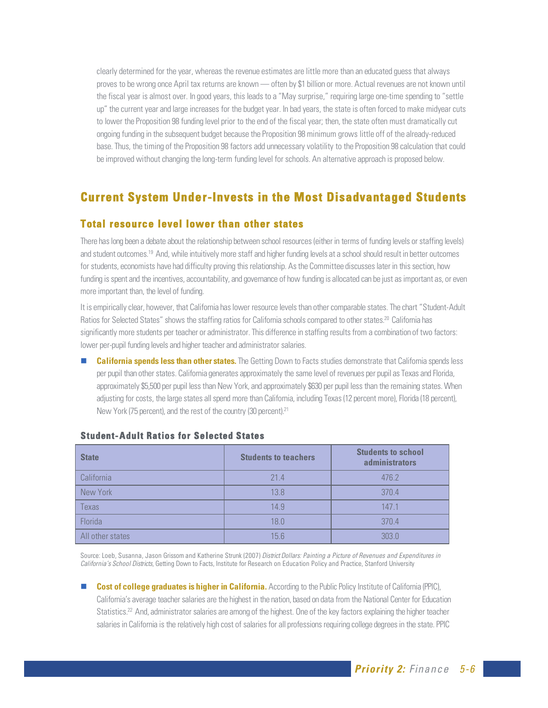clearly determined for the year, whereas the revenue estimates are little more than an educated guess that always proves to be wrong once April tax returns are known — often by \$1 billion or more. Actual revenues are not known until the fiscal year is almost over. In good years, this leads to a "May surprise," requiring large one-time spending to "settle up" the current year and large increases for the budget year. In bad years, the state is often forced to make midyear cuts to lower the Proposition 98 funding level prior to the end of the fiscal year; then, the state often must dramatically cut ongoing funding in the subsequent budget because the Proposition 98 minimum grows little off of the already-reduced base. Thus, the timing of the Proposition 98 factors add unnecessary volatility to the Proposition 98 calculation that could be improved without changing the long-term funding level for schools. An alternative approach is proposed below.

# **Current System Under-Invests in the Most Disadvantaged Students**

#### **Total resource level lower than other states**

There has long been a debate about the relationship between school resources (either in terms of funding levels or staffing levels) and student outcomes.19 And, while intuitively more staff and higher funding levels at a school should result in better outcomes for students, economists have had difficulty proving this relationship. As the Committee discusses later in this section, how funding is spent and the incentives, accountability, and governance of how funding is allocated can be just as important as, or even more important than, the level of funding.

It is empirically clear, however, that California has lower resource levels than other comparable states. The chart "Student-Adult Ratios for Selected States" shows the staffing ratios for California schools compared to other states.<sup>20</sup> California has significantly more students per teacher or administrator. This difference in staffing results from a combination of two factors: lower per-pupil funding levels and higher teacher and administrator salaries.

 **California spends less than other states.** The Getting Down to Facts studies demonstrate that California spends less per pupil than other states. California generates approximately the same level of revenues per pupil as Texas and Florida, approximately \$5,500 per pupil less than New York, and approximately \$630 per pupil less than the remaining states. When adjusting for costs, the large states all spend more than California, including Texas (12 percent more), Florida (18 percent), New York (75 percent), and the rest of the country (30 percent).21

| <b>State</b>     | <b>Students to teachers</b> | <b>Students to school</b><br><b>administrators</b> |
|------------------|-----------------------------|----------------------------------------------------|
| California       | 214                         | 476.2                                              |
| New York         | 13.8                        | 370.4                                              |
| <b>Texas</b>     | 14.9                        | 147.1                                              |
| Florida          | 18.0                        | 370.4                                              |
| All other states | 15.6                        | 303.0                                              |

#### **Student- Adult Ratios for Selected States**

Source: Loeb, Susanna, Jason Grissom and Katherine Strunk (2007) District Dollars: Painting a Picture of Revenues and Expenditures in California's School Districts, Getting Down to Facts, Institute for Research on Education Policy and Practice, Stanford University

 **Cost of college graduates is higher in California.** According to the Public Policy Institute of California (PPIC), California's average teacher salaries are the highest in the nation, based on data from the National Center for Education Statistics.<sup>22</sup> And, administrator salaries are among of the highest. One of the key factors explaining the higher teacher salaries in California is the relatively high cost of salaries for all professions requiring college degrees in the state. PPIC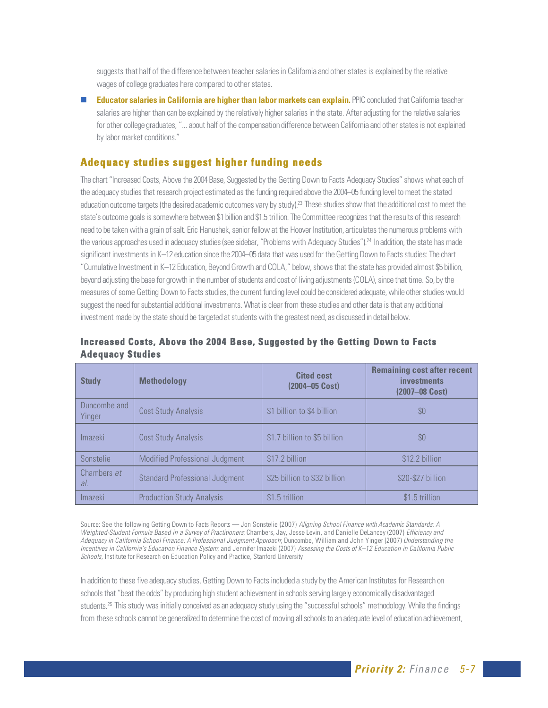suggests that half of the difference between teacher salaries in California and other states is explained by the relative wages of college graduates here compared to other states.

 **Educator salaries in California are higher than labor markets can explain.** PPIC concluded that California teacher salaries are higher than can be explained by the relatively higher salaries in the state. After adjusting for the relative salaries for other college graduates, "... about half of the compensation difference between California and other states is not explained by labor market conditions."

# **Adequacy studies suggest higher funding needs**

The chart "Increased Costs, Above the 2004 Base, Suggested by the Getting Down to Facts Adequacy Studies" shows what each of the adequacy studies that research project estimated as the funding required above the 2004–05 funding level to meet the stated education outcome targets (the desired academic outcomes vary by study).<sup>23</sup> These studies show that the additional cost to meet the state's outcome goals is somewhere between \$1 billion and \$1.5 trillion. The Committee recognizes that the results of this research need to be taken with a grain of salt. Eric Hanushek, senior fellow at the Hoover Institution, articulates the numerous problems with the various approaches used in adequacy studies (see sidebar, "Problems with Adequacy Studies").<sup>24</sup> In addition, the state has made significant investments in K–12 education since the 2004–05 data that was used for the Getting Down to Facts studies: The chart "Cumulative Investment in K–12 Education, Beyond Growth and COLA," below, shows that the state has provided almost \$5 billion, beyond adjusting the base for growth in the number of students and cost of living adjustments (COLA), since that time. So, by the measures of some Getting Down to Facts studies, the current funding level could be considered adequate, while other studies would suggest the need for substantial additional investments. What is clear from these studies and other data is that any additional investment made by the state should be targeted at students with the greatest need, as discussed in detail below.

| <b>Study</b>           | <b>Methodology</b>                    | <b>Cited cost</b><br>(2004-05 Cost) | <b>Remaining cost after recent</b><br><i>investments</i><br>(2007-08 Cost) |
|------------------------|---------------------------------------|-------------------------------------|----------------------------------------------------------------------------|
| Duncombe and<br>Yinger | Cost Study Analysis                   | \$1 billion to \$4 billion          | \$0                                                                        |
| <i>Imazeki</i>         | Cost Study Analysis                   | \$1.7 billion to \$5 billion        | \$0                                                                        |
| Sonstelie              | <b>Modified Professional Judgment</b> | \$17.2 billion                      | \$12.2 billion                                                             |
| Chambers et<br>al.     | <b>Standard Professional Judgment</b> | \$25 billion to \$32 billion        | \$20-\$27 billion                                                          |
| Imazeki                | <b>Production Study Analysis</b>      | \$1.5 trillion                      | \$1.5 trillion                                                             |

#### **Increased Costs, Above the 2004 Base, Suggested by the Getting Down to Facts Adequacy Studies**

Source: See the following Getting Down to Facts Reports - Jon Sonstelie (2007) Aligning School Finance with Academic Standards: A Weighted-Student Formula Based in a Survey of Practitioners; Chambers, Jay, Jesse Levin, and Danielle DeLancey (2007) Efficiency and Adequacy in California School Finance: A Professional Judgment Approach; Duncombe, William and John Yinger (2007) Understanding the Incentives in California's Education Finance System; and Jennifer Imazeki (2007) Assessing the Costs of K–12 Education in California Public Schools, Institute for Research on Education Policy and Practice, Stanford University

In addition to these five adequacy studies, Getting Down to Facts included a study by the American Institutes for Research on schools that "beat the odds" by producing high student achievement in schools serving largely economically disadvantaged students.<sup>25</sup> This study was initially conceived as an adequacy study using the "successful schools" methodology. While the findings from these schools cannot be generalized to determine the cost of moving all schools to an adequate level of education achievement,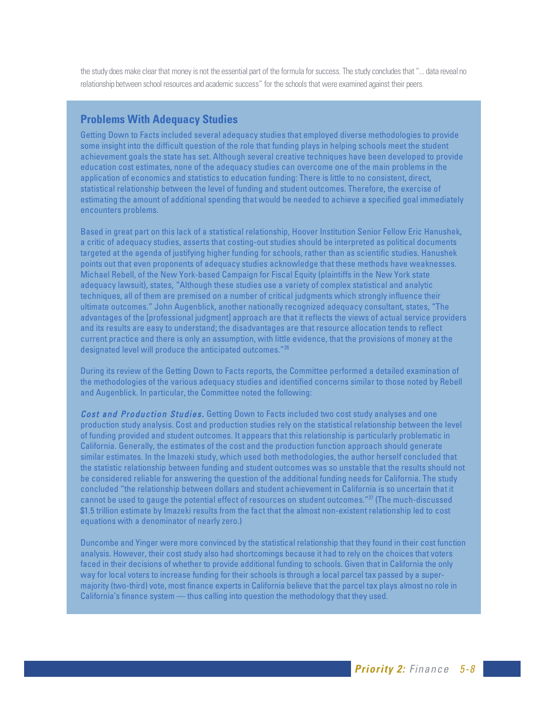the study does make clear that money is not the essential part of the formula for success. The study concludes that "... data reveal no relationship between school resources and academic success" for the schools that were examined against their peers.

#### **Problems With Adequacy Studies**

Getting Down to Facts included several adequacy studies that employed diverse methodologies to provide some insight into the difficult question of the role that funding plays in helping schools meet the student achievement goals the state has set. Although several creative techniques have been developed to provide education cost estimates, none of the adequacy studies can overcome one of the main problems in the application of economics and statistics to education funding: There is little to no consistent, direct, statistical relationship between the level of funding and student outcomes. Therefore, the exercise of estimating the amount of additional spending that would be needed to achieve a specified goal immediately encounters problems.

Based in great part on this lack of a statistical relationship, Hoover Institution Senior Fellow Eric Hanushek, a critic of adequacy studies, asserts that costing-out studies should be interpreted as political documents targeted at the agenda of justifying higher funding for schools, rather than as scientific studies. Hanushek points out that even proponents of adequacy studies acknowledge that these methods have weaknesses. Michael Rebell, of the New York-based Campaign for Fiscal Equity (plaintiffs in the New York state adequacy lawsuit), states, "Although these studies use a variety of complex statistical and analytic techniques, all of them are premised on a number of critical judgments which strongly influence their ultimate outcomes." John Augenblick, another nationally recognized adequacy consultant, states, "The advantages of the [professional judgment] approach are that it reflects the views of actual service providers and its results are easy to understand; the disadvantages are that resource allocation tends to reflect current practice and there is only an assumption, with little evidence, that the provisions of money at the designated level will produce the anticipated outcomes."26

During its review of the Getting Down to Facts reports, the Committee performed a detailed examination of the methodologies of the various adequacy studies and identified concerns similar to those noted by Rebell and Augenblick. In particular, the Committee noted the following:

**Cost and Production Studies.** Getting Down to Facts included two cost study analyses and one production study analysis. Cost and production studies rely on the statistical relationship between the level of funding provided and student outcomes. It appears that this relationship is particularly problematic in California. Generally, the estimates of the cost and the production function approach should generate similar estimates. In the Imazeki study, which used both methodologies, the author herself concluded that the statistic relationship between funding and student outcomes was so unstable that the results should not be considered reliable for answering the question of the additional funding needs for California. The study concluded "the relationship between dollars and student achievement in California is so uncertain that it cannot be used to gauge the potential effect of resources on student outcomes."27 (The much-discussed \$1.5 trillion estimate by Imazeki results from the fact that the almost non-existent relationship led to cost equations with a denominator of nearly zero.)

Duncombe and Yinger were more convinced by the statistical relationship that they found in their cost function analysis. However, their cost study also had shortcomings because it had to rely on the choices that voters faced in their decisions of whether to provide additional funding to schools. Given that in California the only way for local voters to increase funding for their schools is through a local parcel tax passed by a supermajority (two-third) vote, most finance experts in California believe that the parcel tax plays almost no role in California's finance system — thus calling into question the methodology that they used.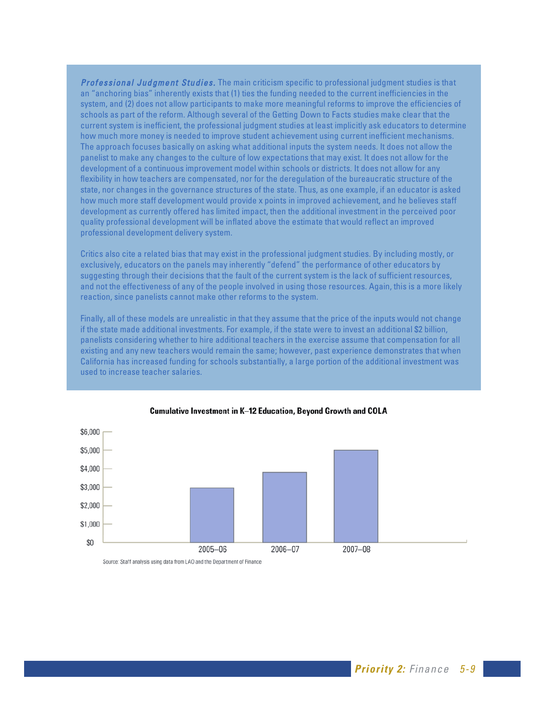Professional Judgment Studies. The main criticism specific to professional judgment studies is that an "anchoring bias" inherently exists that (1) ties the funding needed to the current inefficiencies in the system, and (2) does not allow participants to make more meaningful reforms to improve the efficiencies of schools as part of the reform. Although several of the Getting Down to Facts studies make clear that the current system is inefficient, the professional judgment studies at least implicitly ask educators to determine how much more money is needed to improve student achievement using current inefficient mechanisms. The approach focuses basically on asking what additional inputs the system needs. It does not allow the panelist to make any changes to the culture of low expectations that may exist. It does not allow for the development of a continuous improvement model within schools or districts. It does not allow for any flexibility in how teachers are compensated, nor for the deregulation of the bureaucratic structure of the state, nor changes in the governance structures of the state. Thus, as one example, if an educator is asked how much more staff development would provide x points in improved achievement, and he believes staff development as currently offered has limited impact, then the additional investment in the perceived poor quality professional development will be inflated above the estimate that would reflect an improved professional development delivery system.

Critics also cite a related bias that may exist in the professional judgment studies. By including mostly, or exclusively, educators on the panels may inherently "defend" the performance of other educators by suggesting through their decisions that the fault of the current system is the lack of sufficient resources, and not the effectiveness of any of the people involved in using those resources. Again, this is a more likely reaction, since panelists cannot make other reforms to the system.

Finally, all of these models are unrealistic in that they assume that the price of the inputs would not change if the state made additional investments. For example, if the state were to invest an additional \$2 billion, panelists considering whether to hire additional teachers in the exercise assume that compensation for all existing and any new teachers would remain the same; however, past experience demonstrates that when California has increased funding for schools substantially, a large portion of the additional investment was used to increase teacher salaries.



#### Cumulative Investment in K-12 Education, Beyond Growth and COLA

Source: Staff analysis using data from LAO and the Department of Finance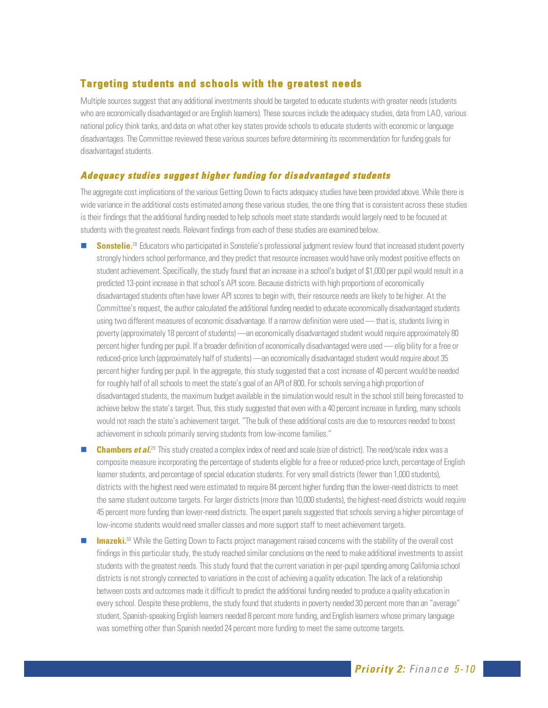# **Targeting students and schools with the greatest needs**

Multiple sources suggest that any additional investments should be targeted to educate students with greater needs (students who are economically disadvantaged or are English learners). These sources include the adequacy studies, data from LAO, various national policy think tanks, and data on what other key states provide schools to educate students with economic or language disadvantages. The Committee reviewed these various sources before determining its recommendation for funding goals for disadvantaged students.

#### **Adequacy studies suggest higher funding for disadvantaged students**

The aggregate cost implications of the various Getting Down to Facts adequacy studies have been provided above. While there is wide variance in the additional costs estimated among these various studies, the one thing that is consistent across these studies is their findings that the additional funding needed to help schools meet state standards would largely need to be focused at students with the greatest needs. Relevant findings from each of these studies are examined below.

- **Sonstelie.**<sup>28</sup> Educators who participated in Sonstelie's professional judgment review found that increased student poverty strongly hinders school performance, and they predict that resource increases would have only modest positive effects on student achievement. Specifically, the study found that an increase in a school's budget of \$1,000 per pupil would result in a predicted 13-point increase in that school's API score. Because districts with high proportions of economically disadvantaged students often have lower API scores to begin with, their resource needs are likely to be higher. At the Committee's request, the author calculated the additional funding needed to educate economically disadvantaged students using two different measures of economic disadvantage. If a narrow definition were used — that is, students living in poverty (approximately 18 percent of students) —an economically disadvantaged student would require approximately 80 percent higher funding per pupil. If a broader definition of economically disadvantaged were used — elig bility for a free or reduced-price lunch (approximately half of students) —an economically disadvantaged student would require about 35 percent higher funding per pupil. In the aggregate, this study suggested that a cost increase of 40 percent would be needed for roughly half of all schools to meet the state's goal of an API of 800. For schools serving a high proportion of disadvantaged students, the maximum budget available in the simulation would result in the school still being forecasted to achieve below the state's target. Thus, this study suggested that even with a 40 percent increase in funding, many schools would not reach the state's achievement target. "The bulk of these additional costs are due to resources needed to boost achievement in schools primarily serving students from low-income families."
- **Chambers et al.**<sup>29</sup> This study created a complex index of need and scale (size of district). The need/scale index was a composite measure incorporating the percentage of students eligible for a free or reduced-price lunch, percentage of English learner students, and percentage of special education students. For very small districts (fewer than 1,000 students), districts with the highest need were estimated to require 84 percent higher funding than the lower-need districts to meet the same student outcome targets. For larger districts (more than 10,000 students), the highest-need districts would require 45 percent more funding than lower-need districts. The expert panels suggested that schools serving a higher percentage of low-income students would need smaller classes and more support staff to meet achievement targets.
- **Imazeki.**<sup>30</sup> While the Getting Down to Facts project management raised concerns with the stability of the overall cost findings in this particular study, the study reached similar conclusions on the need to make additional investments to assist students with the greatest needs. This study found that the current variation in per-pupil spending among California school districts is not strongly connected to variations in the cost of achieving a quality education. The lack of a relationship between costs and outcomes made it difficult to predict the additional funding needed to produce a quality education in every school. Despite these problems, the study found that students in poverty needed 30 percent more than an "average" student, Spanish-speaking English learners needed 8 percent more funding, and English learners whose primary language was something other than Spanish needed 24 percent more funding to meet the same outcome targets.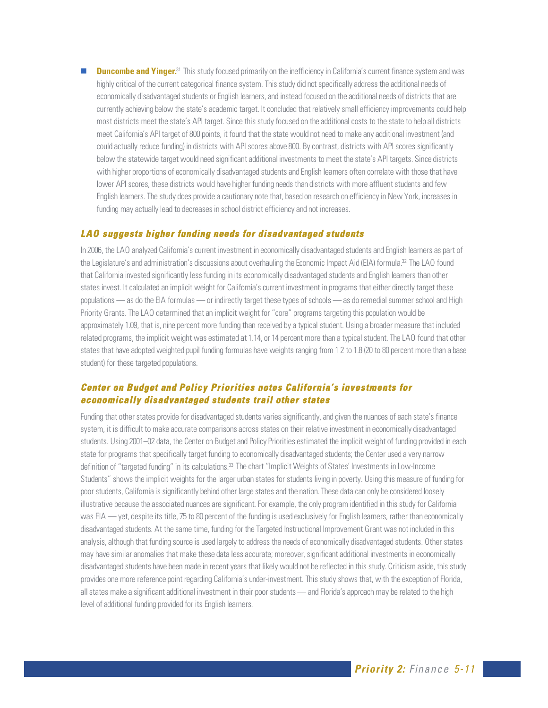**Duncombe and Yinger.**<sup>31</sup> This study focused primarily on the inefficiency in California's current finance system and was highly critical of the current categorical finance system. This study did not specifically address the additional needs of economically disadvantaged students or English learners, and instead focused on the additional needs of districts that are currently achieving below the state's academic target. It concluded that relatively small efficiency improvements could help most districts meet the state's API target. Since this study focused on the additional costs to the state to help all districts meet California's API target of 800 points, it found that the state would not need to make any additional investment (and could actually reduce funding) in districts with API scores above 800. By contrast, districts with API scores significantly below the statewide target would need significant additional investments to meet the state's API targets. Since districts with higher proportions of economically disadvantaged students and English learners often correlate with those that have lower API scores, these districts would have higher funding needs than districts with more affluent students and few English learners. The study does provide a cautionary note that, based on research on efficiency in New York, increases in funding may actually lead to decreases in school district efficiency and not increases.

#### **L AO suggests higher funding needs for disadvantaged students**

In 2006, the LAO analyzed California's current investment in economically disadvantaged students and English learners as part of the Legislature's and administration's discussions about overhauling the Economic Impact Aid (EIA) formula.<sup>32</sup> The LAO found that California invested significantly less funding in its economically disadvantaged students and English learners than other states invest. It calculated an implicit weight for California's current investment in programs that either directly target these populations — as do the EIA formulas — or indirectly target these types of schools — as do remedial summer school and High Priority Grants. The LAO determined that an implicit weight for "core" programs targeting this population would be approximately 1.09, that is, nine percent more funding than received by a typical student. Using a broader measure that included related programs, the implicit weight was estimated at 1.14, or 14 percent more than a typical student. The LAO found that other states that have adopted weighted pupil funding formulas have weights ranging from 1 2 to 1.8 (20 to 80 percent more than a base student) for these targeted populations.

#### **Center on Budget and Policy Priorities notes California's investments for economically disadvantaged students trail other states**

Funding that other states provide for disadvantaged students varies significantly, and given the nuances of each state's finance system, it is difficult to make accurate comparisons across states on their relative investment in economically disadvantaged students. Using 2001–02 data, the Center on Budget and Policy Priorities estimated the implicit weight of funding provided in each state for programs that specifically target funding to economically disadvantaged students; the Center used a very narrow definition of "targeted funding" in its calculations.<sup>33</sup> The chart "Implicit Weights of States' Investments in Low-Income Students" shows the implicit weights for the larger urban states for students living in poverty. Using this measure of funding for poor students, California is significantly behind other large states and the nation. These data can only be considered loosely illustrative because the associated nuances are significant. For example, the only program identified in this study for California was EIA — yet, despite its title, 75 to 80 percent of the funding is used exclusively for English learners, rather than economically disadvantaged students. At the same time, funding for the Targeted Instructional Improvement Grant was not included in this analysis, although that funding source is used largely to address the needs of economically disadvantaged students. Other states may have similar anomalies that make these data less accurate; moreover, significant additional investments in economically disadvantaged students have been made in recent years that likely would not be reflected in this study. Criticism aside, this study provides one more reference point regarding California's under-investment. This study shows that, with the exception of Florida, all states make a significant additional investment in their poor students — and Florida's approach may be related to the high level of additional funding provided for its English learners.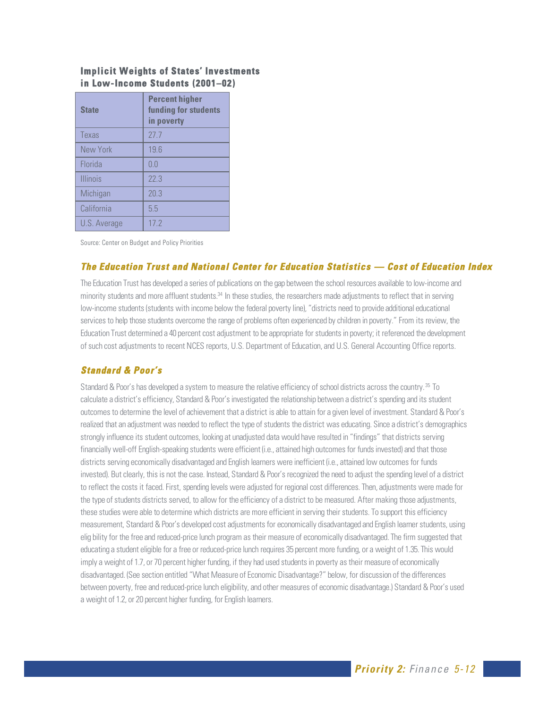#### **Implicit Weights of States' Investments in Low-Income Students (2001–02)**

| <b>State</b>    | <b>Percent higher</b><br>funding for students<br>in poverty |
|-----------------|-------------------------------------------------------------|
| Texas           | 27.7                                                        |
| New York        | 19.6                                                        |
| Florida         | 0 <sub>0</sub>                                              |
| <b>Illinois</b> | 22.3                                                        |
| Michigan        | 20.3                                                        |
| California      | 5 <sub>5</sub>                                              |
| U.S. Average    | 17 <sub>2</sub>                                             |

Source: Center on Budget and Policy Priorities

#### **The Education Trust and National Center for Education Statistics — Cost of Education Index**

The Education Trust has developed a series of publications on the gap between the school resources available to low-income and minority students and more affluent students.<sup>34</sup> In these studies, the researchers made adjustments to reflect that in serving low-income students (students with income below the federal poverty line),"districts need to provide additional educational services to help those students overcome the range of problems often experienced by children in poverty." From its review, the Education Trust determined a 40 percent cost adjustment to be appropriate for students in poverty; it referenced the development of such cost adjustments to recent NCES reports, U.S. Department of Education, and U.S. General Accounting Office reports.

#### **Standard & Poor's**

Standard & Poor's has developed a system to measure the relative efficiency of school districts across the country. <sup>35</sup> To calculate a district's efficiency, Standard & Poor's investigated the relationship between a district's spending and its student outcomes to determine the level of achievement that a district is able to attain for a given level of investment. Standard & Poor's realized that an adjustment was needed to reflect the type of students the district was educating. Since a district's demographics strongly influence its student outcomes, looking at unadjusted data would have resulted in "findings" that districts serving financially well-off English-speaking students were efficient (i.e., attained high outcomes for funds invested) and that those districts serving economically disadvantaged and English learners were inefficient (i.e., attained low outcomes for funds invested). But clearly, this is not the case. Instead, Standard & Poor's recognized the need to adjust the spending level of a district to reflect the costs it faced. First, spending levels were adjusted for regional cost differences. Then, adjustments were made for the type of students districts served, to allow for the efficiency of a district to be measured. After making those adjustments, these studies were able to determine which districts are more efficient in serving their students. To support this efficiency measurement, Standard & Poor's developed cost adjustments for economically disadvantaged and English learner students, using elig bility for the free and reduced-price lunch program as their measure of economically disadvantaged. The firm suggested that educating a student eligible for a free or reduced-price lunch requires 35 percent more funding, or a weight of 1.35. This would imply a weight of 1.7, or 70 percent higher funding, if they had used students in poverty as their measure of economically disadvantaged. (See section entitled "What Measure of Economic Disadvantage?" below, for discussion of the differences between poverty, free and reduced-price lunch eligibility, and other measures of economic disadvantage.) Standard & Poor's used a weight of 1.2, or 20 percent higher funding, for English learners.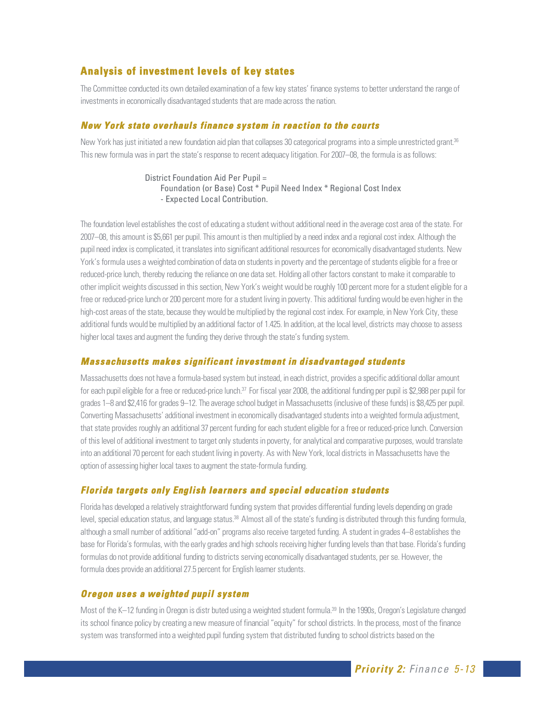# **Analysis of investment levels of key states**

The Committee conducted its own detailed examination of a few key states' finance systems to better understand the range of investments in economically disadvantaged students that are made across the nation.

#### **New York state overhauls finance system in reaction to the courts**

New York has just initiated a new foundation aid plan that collapses 30 categorical programs into a simple unrestricted grant.<sup>36</sup> This new formula was in part the state's response to recent adequacy litigation. For 2007–08, the formula is as follows:

> District Foundation Aid Per Pupil = Foundation (or Base) Cost \* Pupil Need Index \* Regional Cost Index - Expected Local Contribution.

The foundation level establishes the cost of educating a student without additional need in the average cost area of the state. For 2007–08, this amount is \$5,661 per pupil. This amount is then multiplied by a need index and a regional cost index. Although the pupil need index is complicated, it translates into significant additional resources for economically disadvantaged students. New York's formula uses a weighted combination of data on students in poverty and the percentage of students eligible for a free or reduced-price lunch, thereby reducing the reliance on one data set. Holding all other factors constant to make it comparable to other implicit weights discussed in this section, New York's weight would be roughly 100 percent more for a student eligible for a free or reduced-price lunch or 200 percent more for a student living in poverty. This additional funding would be even higher in the high-cost areas of the state, because they would be multiplied by the regional cost index. For example, in New York City, these additional funds would be multiplied by an additional factor of 1.425. In addition, at the local level, districts may choose to assess higher local taxes and augment the funding they derive through the state's funding system.

#### **Massachusetts makes significant investment in disadvantaged students**

Massachusetts does not have a formula-based system but instead, in each district, provides a specific additional dollar amount for each pupil eligible for a free or reduced-price lunch.<sup>37</sup> For fiscal year 2008, the additional funding per pupil is \$2,988 per pupil for grades 1–8 and \$2,416 for grades 9–12. The average school budget in Massachusetts (inclusive of these funds) is \$8,425 per pupil. Converting Massachusetts' additional investment in economically disadvantaged students into a weighted formula adjustment, that state provides roughly an additional 37 percent funding for each student eligible for a free or reduced-price lunch. Conversion of this level of additional investment to target only students in poverty, for analytical and comparative purposes, would translate into an additional 70 percent for each student living in poverty. As with New York, local districts in Massachusetts have the option of assessing higher local taxes to augment the state-formula funding.

#### **Florida targets only English learners and special education students**

Florida has developed a relatively straightforward funding system that provides differential funding levels depending on grade level, special education status, and language status.<sup>38</sup> Almost all of the state's funding is distributed through this funding formula, although a small number of additional "add-on" programs also receive targeted funding. A student in grades 4–8 establishes the base for Florida's formulas, with the early grades and high schools receiving higher funding levels than that base. Florida's funding formulas do not provide additional funding to districts serving economically disadvantaged students, per se. However, the formula does provide an additional 27.5 percent for English learner students.

#### **Oregon uses a weighted pupil system**

Most of the K–12 funding in Oregon is distr buted using a weighted student formula.<sup>39</sup> In the 1990s, Oregon's Legislature changed its school finance policy by creating a new measure of financial "equity" for school districts. In the process, most of the finance system was transformed into a weighted pupil funding system that distributed funding to school districts based on the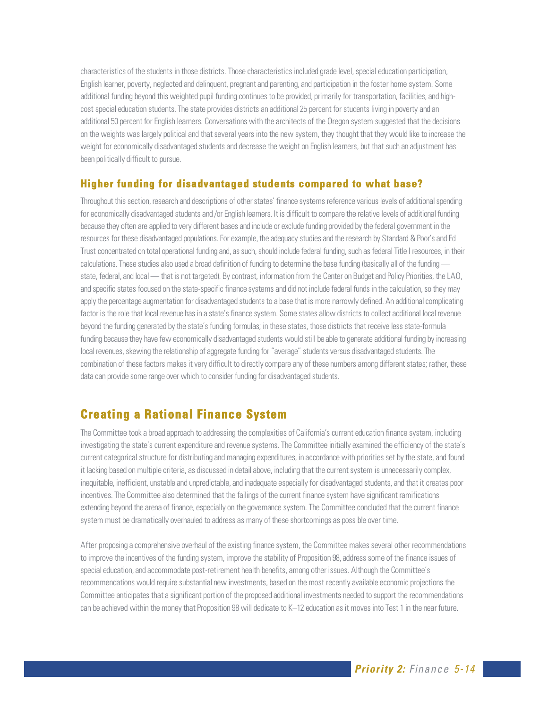characteristics of the students in those districts. Those characteristics included grade level, special education participation, English learner, poverty, neglected and delinquent, pregnant and parenting, and participation in the foster home system. Some additional funding beyond this weighted pupil funding continues to be provided, primarily for transportation, facilities, and highcost special education students. The state provides districts an additional 25 percent for students living in poverty and an additional 50 percent for English learners. Conversations with the architects of the Oregon system suggested that the decisions on the weights was largely political and that several years into the new system, they thought that they would like to increase the weight for economically disadvantaged students and decrease the weight on English learners, but that such an adjustment has been politically difficult to pursue.

#### **Higher funding for disadvantaged students compared to what base?**

Throughout this section, research and descriptions of other states' finance systems reference various levels of additional spending for economically disadvantaged students and /or English learners. It is difficult to compare the relative levels of additional funding because they often are applied to very different bases and include or exclude funding provided by the federal government in the resources for these disadvantaged populations. For example, the adequacy studies and the research by Standard & Poor's and Ed Trust concentrated on total operational funding and, as such, should include federal funding, such as federal Title I resources, in their calculations. These studies also used a broad definition of funding to determine the base funding (basically all of the funding state, federal, and local — that is not targeted). By contrast, information from the Center on Budget and Policy Priorities, the LAO, and specific states focused on the state-specific finance systems and did not include federal funds in the calculation, so they may apply the percentage augmentation for disadvantaged students to a base that is more narrowly defined. An additional complicating factor is the role that local revenue has in a state's finance system. Some states allow districts to collect additional local revenue beyond the funding generated by the state's funding formulas; in these states, those districts that receive less state-formula funding because they have few economically disadvantaged students would still be able to generate additional funding by increasing local revenues, skewing the relationship of aggregate funding for "average" students versus disadvantaged students. The combination of these factors makes it very difficult to directly compare any of these numbers among different states; rather, these data can provide some range over which to consider funding for disadvantaged students.

# **Creating a Rational Finance System**

The Committee took a broad approach to addressing the complexities of California's current education finance system, including investigating the state's current expenditure and revenue systems. The Committee initially examined the efficiency of the state's current categorical structure for distributing and managing expenditures, in accordance with priorities set by the state, and found it lacking based on multiple criteria, as discussed in detail above, including that the current system is unnecessarily complex, inequitable, inefficient, unstable and unpredictable, and inadequate especially for disadvantaged students, and that it creates poor incentives. The Committee also determined that the failings of the current finance system have significant ramifications extending beyond the arena of finance, especially on the governance system. The Committee concluded that the current finance system must be dramatically overhauled to address as many of these shortcomings as poss ble over time.

After proposing a comprehensive overhaul of the existing finance system, the Committee makes several other recommendations to improve the incentives of the funding system, improve the stability of Proposition 98, address some of the finance issues of special education, and accommodate post-retirement health benefits, among other issues. Although the Committee's recommendations would require substantial new investments, based on the most recently available economic projections the Committee anticipates that a significant portion of the proposed additional investments needed to support the recommendations can be achieved within the money that Proposition 98 will dedicate to K–12 education as it moves into Test 1 in the near future.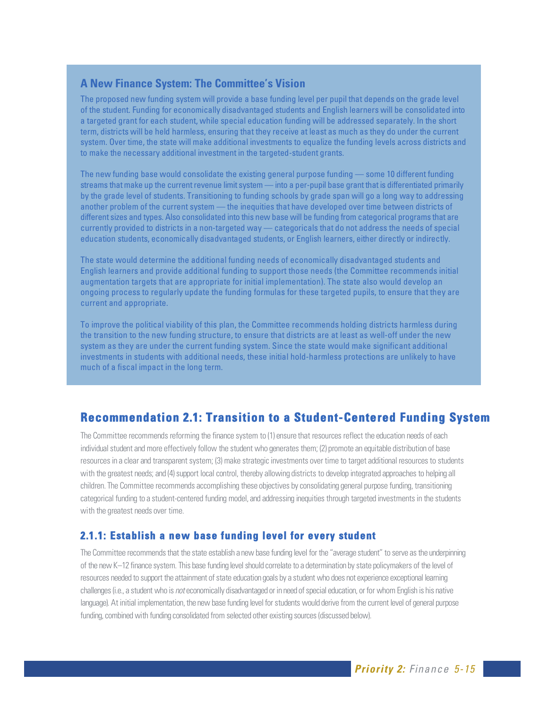#### **A New Finance System: The Committee's Vision**

The proposed new funding system will provide a base funding level per pupil that depends on the grade level of the student. Funding for economically disadvantaged students and English learners will be consolidated into a targeted grant for each student, while special education funding will be addressed separately. In the short term, districts will be held harmless, ensuring that they receive at least as much as they do under the current system. Over time, the state will make additional investments to equalize the funding levels across districts and to make the necessary additional investment in the targeted-student grants.

The new funding base would consolidate the existing general purpose funding — some 10 different funding streams that make up the current revenue limit system — into a per-pupil base grant that is differentiated primarily by the grade level of students. Transitioning to funding schools by grade span will go a long way to addressing another problem of the current system — the inequities that have developed over time between districts of different sizes and types. Also consolidated into this new base will be funding from categorical programs that are currently provided to districts in a non-targeted way — categoricals that do not address the needs of special education students, economically disadvantaged students, or English learners, either directly or indirectly.

The state would determine the additional funding needs of economically disadvantaged students and English learners and provide additional funding to support those needs (the Committee recommends initial augmentation targets that are appropriate for initial implementation). The state also would develop an ongoing process to regularly update the funding formulas for these targeted pupils, to ensure that they are current and appropriate.

To improve the political viability of this plan, the Committee recommends holding districts harmless during the transition to the new funding structure, to ensure that districts are at least as well-off under the new system as they are under the current funding system. Since the state would make significant additional investments in students with additional needs, these initial hold-harmless protections are unlikely to have much of a fiscal impact in the long term.

# **Recommendation 2.1: Transition to a Student-Centered Funding System**

The Committee recommends reforming the finance system to (1) ensure that resources reflect the education needs of each individual student and more effectively follow the student who generates them; (2) promote an equitable distribution of base resources in a clear and transparent system; (3) make strategic investments over time to target additional resources to students with the greatest needs; and (4) support local control, thereby allowing districts to develop integrated approaches to helping all children. The Committee recommends accomplishing these objectives by consolidating general purpose funding, transitioning categorical funding to a student-centered funding model, and addressing inequities through targeted investments in the students with the greatest needs over time.

#### **2.1.1: Establish a new base funding level for every student**

The Committee recommends that the state establish a new base funding level for the "average student" to serve as the underpinning of the new K–12 finance system. This base funding level should correlate to a determination by state policymakers of the level of resources needed to support the attainment of state education goals by a student who does not experience exceptional learning challenges (i.e., a student who is not economically disadvantaged or in need of special education, or for whom English is his native language). At initial implementation, the new base funding level for students would derive from the current level of general purpose funding, combined with funding consolidated from selected other existing sources (discussed below).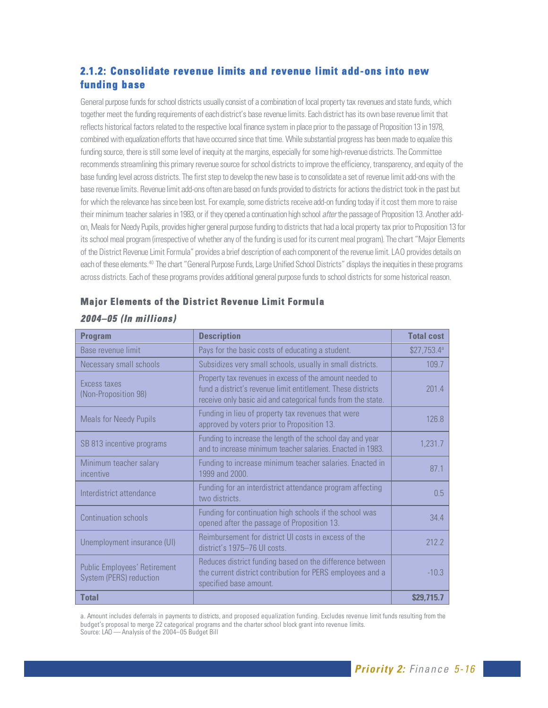# **2.1.2: Consolidate revenue limits and revenue limit add-ons into new funding base**

General purpose funds for school districts usually consist of a combination of local property tax revenues and state funds, which together meet the funding requirements of each district's base revenue limits. Each district has its own base revenue limit that reflects historical factors related to the respective local finance system in place prior to the passage of Proposition 13 in 1978, combined with equalization efforts that have occurred since that time. While substantial progress has been made to equalize this funding source, there is still some level of inequity at the margins, especially for some high-revenue districts. The Committee recommends streamlining this primary revenue source for school districts to improve the efficiency, transparency, and equity of the base funding level across districts. The first step to develop the new base is to consolidate a set of revenue limit add-ons with the base revenue limits. Revenue limit add-ons often are based on funds provided to districts for actions the district took in the past but for which the relevance has since been lost. For example, some districts receive add-on funding today if it cost them more to raise their minimum teacher salaries in 1983, or if they opened a continuation high school after the passage of Proposition 13. Another addon, Meals for Needy Pupils, provides higher general purpose funding to districts that had a local property tax prior to Proposition 13 for its school meal program (irrespective of whether any of the funding is used for its current meal program). The chart "Major Elements of the District Revenue Limit Formula" provides a brief description of each component of the revenue limit. LAO provides details on each of these elements.40 The chart "General Purpose Funds, Large Unified School Districts" displays the inequities in these programs across districts. Each of these programs provides additional general purpose funds to school districts for some historical reason.

| <b>Program</b>                                                 | <b>Description</b>                                                                                                                                                                      | <b>Total cost</b> |
|----------------------------------------------------------------|-----------------------------------------------------------------------------------------------------------------------------------------------------------------------------------------|-------------------|
| Base revenue limit                                             | Pays for the basic costs of educating a student.                                                                                                                                        | $$27,753.4^a$     |
| Necessary small schools                                        | Subsidizes very small schools, usually in small districts.                                                                                                                              | 109.7             |
| <b>Excess taxes</b><br>(Non-Proposition 98)                    | Property tax revenues in excess of the amount needed to<br>fund a district's revenue limit entitlement. These districts<br>receive only basic aid and categorical funds from the state. | 201.4             |
| <b>Meals for Needy Pupils</b>                                  | Funding in lieu of property tax revenues that were<br>approved by voters prior to Proposition 13.                                                                                       | 126.8             |
| SB 813 incentive programs                                      | Funding to increase the length of the school day and year<br>and to increase minimum teacher salaries. Enacted in 1983.                                                                 | 1,231.7           |
| Minimum teacher salary<br>incentive                            | Funding to increase minimum teacher salaries. Enacted in<br>1999 and 2000.                                                                                                              | 87.1              |
| Interdistrict attendance                                       | Funding for an interdistrict attendance program affecting<br>two districts.                                                                                                             | 0.5               |
| Continuation schools                                           | Funding for continuation high schools if the school was<br>opened after the passage of Proposition 13.                                                                                  | 34.4              |
| Unemployment insurance (UI)                                    | Reimbursement for district UI costs in excess of the<br>district's 1975-76 UI costs.                                                                                                    | 212.2             |
| <b>Public Employees' Retirement</b><br>System (PERS) reduction | Reduces district funding based on the difference between<br>the current district contribution for PERS employees and a<br>specified base amount.                                        | $-10.3$           |
| <b>Total</b>                                                   |                                                                                                                                                                                         | \$29,715.7        |

# **Major Elements of the District Revenue Limit Formula**

#### **20 04–05 (In millions)**

a. Amount includes deferrals in payments to districts, and proposed equalization funding. Excludes revenue limit funds resulting from the budget's proposal to merge 22 categorical programs and the charter school block grant into revenue limits. Source: LAO — Analysis of the 2004–05 Budget Bill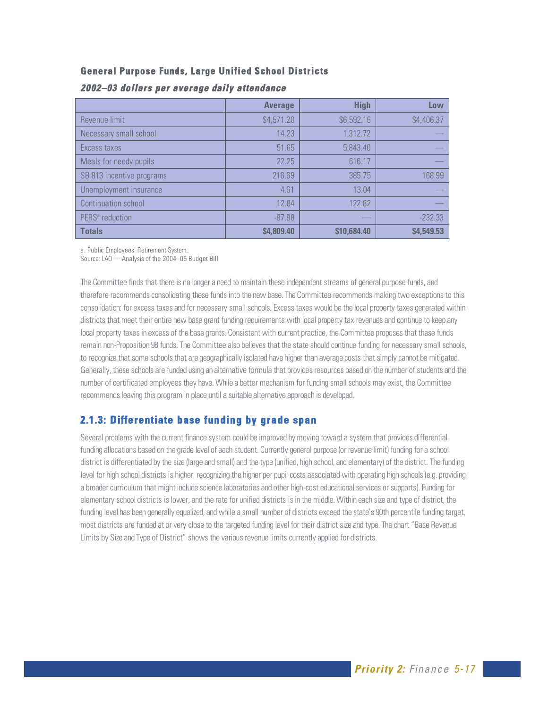#### **General Purpose Funds, Large Unified School Districts**

|                             | <b>Average</b> | <b>High</b> | Low        |
|-----------------------------|----------------|-------------|------------|
| Revenue limit               | \$4,571.20     | \$6,592.16  | \$4,406.37 |
| Necessary small school      | 14.23          | 1,312.72    |            |
| Excess taxes                | 51.65          | 5,843.40    |            |
| Meals for needy pupils      | 22.25          | 616.17      |            |
| SB 813 incentive programs   | 216.69         | 385.75      | 168.99     |
| Unemployment insurance      | 4.61           | 13.04       |            |
| Continuation school         | 12.84          | 122.82      |            |
| PERS <sup>ª</sup> reduction | $-87.88$       |             | $-232.33$  |
| <b>Totals</b>               | \$4,809.40     | \$10,684,40 | \$4,549.53 |

#### **20 02–03 dollars per average daily attendance**

a. Public Employees' Retirement System.

Source: LAO — Analysis of the 2004–05 Budget Bill

The Committee finds that there is no longer a need to maintain these independent streams of general purpose funds, and therefore recommends consolidating these funds into the new base. The Committee recommends making two exceptions to this consolidation: for excess taxes and for necessary small schools. Excess taxes would be the local property taxes generated within districts that meet their entire new base grant funding requirements with local property tax revenues and continue to keep any local property taxes in excess of the base grants. Consistent with current practice, the Committee proposes that these funds remain non-Proposition 98 funds. The Committee also believes that the state should continue funding for necessary small schools, to recognize that some schools that are geographically isolated have higher than average costs that simply cannot be mitigated. Generally, these schools are funded using an alternative formula that provides resources based on the number of students and the number of certificated employees they have. While a better mechanism for funding small schools may exist, the Committee recommends leaving this program in place until a suitable alternative approach is developed.

# **2.1.3: Differentiate base funding by grade span**

Several problems with the current finance system could be improved by moving toward a system that provides differential funding allocations based on the grade level of each student. Currently general purpose (or revenue limit) funding for a school district is differentiated by the size (large and small) and the type (unified, high school, and elementary) of the district. The funding level for high school districts is higher, recognizing the higher per pupil costs associated with operating high schools (e.g. providing a broader curriculum that might include science laboratories and other high-cost educational services or supports). Funding for elementary school districts is lower, and the rate for unified districts is in the middle. Within each size and type of district, the funding level has been generally equalized, and while a small number of districts exceed the state's 90th percentile funding target, most districts are funded at or very close to the targeted funding level for their district size and type. The chart "Base Revenue Limits by Size and Type of District" shows the various revenue limits currently applied for districts.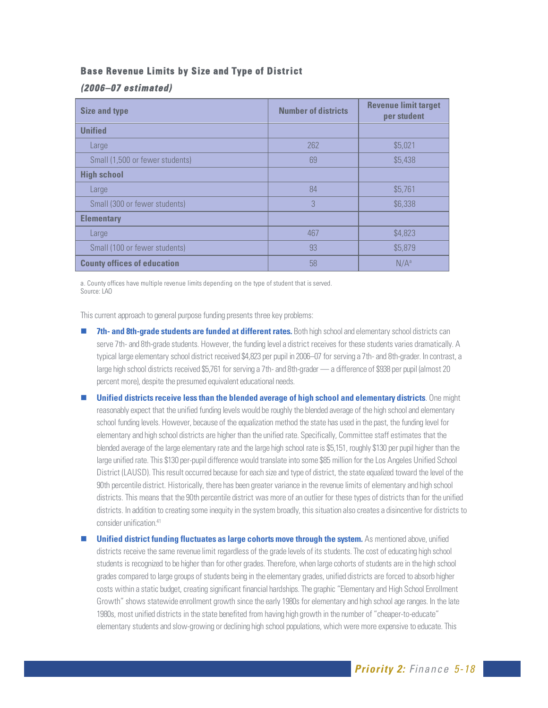#### **Base Revenue Limits by Size and Type of District**

#### **(20 0 6–07 estimated)**

| <b>Size and type</b>               | <b>Number of districts</b> | <b>Revenue limit target</b><br>per student |
|------------------------------------|----------------------------|--------------------------------------------|
| <b>Unified</b>                     |                            |                                            |
| Large                              | 262                        | \$5,021                                    |
| Small (1,500 or fewer students)    | 69                         | \$5,438                                    |
| <b>High school</b>                 |                            |                                            |
| Large                              | 84                         | \$5,761                                    |
| Small (300 or fewer students)      | 3                          | \$6,338                                    |
| <b>Elementary</b>                  |                            |                                            |
| Large                              | 467                        | \$4,823                                    |
| Small (100 or fewer students)      | 93                         | \$5,879                                    |
| <b>County offices of education</b> | 58                         | $N/A^a$                                    |

a. County offices have multiple revenue limits depending on the type of student that is served. Source: LAO

This current approach to general purpose funding presents three key problems:

- **7th- and 8th-grade students are funded at different rates.** Both high school and elementary school districts can serve 7th- and 8th-grade students. However, the funding level a district receives for these students varies dramatically. A typical large elementary school district received \$4,823 per pupil in 2006–07 for serving a 7th- and 8th-grader. In contrast, a large high school districts received \$5,761 for serving a 7th- and 8th-grader — a difference of \$938 per pupil (almost 20 percent more), despite the presumed equivalent educational needs.
- **Unified districts receive less than the blended average of high school and elementary districts**. One might reasonably expect that the unified funding levels would be roughly the blended average of the high school and elementary school funding levels. However, because of the equalization method the state has used in the past, the funding level for elementary and high school districts are higher than the unified rate. Specifically, Committee staff estimates that the blended average of the large elementary rate and the large high school rate is \$5,151, roughly \$130 per pupil higher than the large unified rate. This \$130 per-pupil difference would translate into some \$85 million for the Los Angeles Unified School District (LAUSD). This result occurred because for each size and type of district, the state equalized toward the level of the 90th percentile district. Historically, there has been greater variance in the revenue limits of elementary and high school districts. This means that the 90th percentile district was more of an outlier for these types of districts than for the unified districts. In addition to creating some inequity in the system broadly, this situation also creates a disincentive for districts to consider unification<sup>41</sup>
- **Unified district funding fluctuates as large cohorts move through the system.** As mentioned above, unified districts receive the same revenue limit regardless of the grade levels of its students. The cost of educating high school students is recognized to be higher than for other grades. Therefore, when large cohorts of students are in the high school grades compared to large groups of students being in the elementary grades, unified districts are forced to absorb higher costs within a static budget, creating significant financial hardships. The graphic "Elementary and High School Enrollment Growth" shows statewide enrollment growth since the early 1980s for elementary and high school age ranges. In the late 1980s, most unified districts in the state benefited from having high growth in the number of "cheaper-to-educate" elementary students and slow-growing or declining high school populations, which were more expensive to educate. This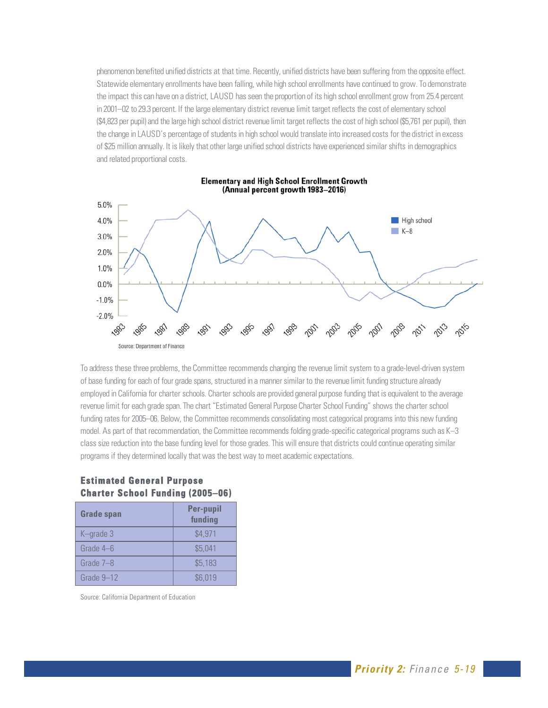phenomenon benefited unified districts at that time. Recently, unified districts have been suffering from the opposite effect. Statewide elementary enrollments have been falling, while high school enrollments have continued to grow. To demonstrate the impact this can have on a district, LAUSD has seen the proportion of its high school enrollment grow from 25.4 percent in 2001–02 to 29.3 percent. If the large elementary district revenue limit target reflects the cost of elementary school (\$4,823 per pupil) and the large high school district revenue limit target reflects the cost of high school (\$5,761 per pupil), then the change in LAUSD's percentage of students in high school would translate into increased costs for the district in excess of \$25 million annually. It is likely that other large unified school districts have experienced similar shifts in demographics and related proportional costs.



**Elementary and High School Enrollment Growth** (Annual percent growth 1983-2016)

To address these three problems, the Committee recommends changing the revenue limit system to a grade-level-driven system of base funding for each of four grade spans, structured in a manner similar to the revenue limit funding structure already employed in California for charter schools. Charter schools are provided general purpose funding that is equivalent to the average revenue limit for each grade span. The chart "Estimated General Purpose Charter School Funding" shows the charter school funding rates for 2005–06. Below, the Committee recommends consolidating most categorical programs into this new funding model. As part of that recommendation, the Committee recommends folding grade-specific categorical programs such as K–3 class size reduction into the base funding level for those grades. This will ensure that districts could continue operating similar programs if they determined locally that was the best way to meet academic expectations.

| VIIGHGI OCHUVI I GHUING (ZUUJ-UU) |
|-----------------------------------|
| <b>Per-pupil</b><br>funding       |
| \$4,971                           |
| \$5,041                           |
| \$5,183                           |
|                                   |

#### **Estimated General Purpose Charter School Funding (2005–06)**

Source: California Department of Education

Grade  $9-12$   $\qquad \qquad$  \$6,019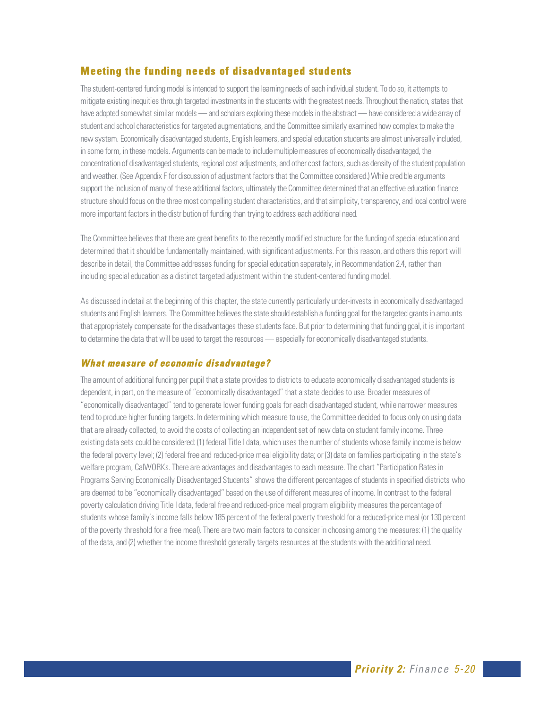# **Meeting the funding needs of disadvantaged students**

The student-centered funding model is intended to support the learning needs of each individual student. To do so, it attempts to mitigate existing inequities through targeted investments in the students with the greatest needs. Throughout the nation, states that have adopted somewhat similar models — and scholars exploring these models in the abstract — have considered a wide array of student and school characteristics for targeted augmentations, and the Committee similarly examined how complex to make the new system. Economically disadvantaged students, English learners, and special education students are almost universally included, in some form, in these models. Arguments can be made to include multiple measures of economically disadvantaged, the concentration of disadvantaged students, regional cost adjustments, and other cost factors, such as density of the student population and weather. (See Appendix F for discussion of adjustment factors that the Committee considered.) While cred ble arguments support the inclusion of many of these additional factors, ultimately the Committee determined that an effective education finance structure should focus on the three most compelling student characteristics, and that simplicity, transparency, and local control were more important factors in the distr bution of funding than trying to address each additional need.

The Committee believes that there are great benefits to the recently modified structure for the funding of special education and determined that it should be fundamentally maintained, with significant adjustments. For this reason, and others this report will describe in detail, the Committee addresses funding for special education separately, in Recommendation 2.4, rather than including special education as a distinct targeted adjustment within the student-centered funding model.

As discussed in detail at the beginning of this chapter, the state currently particularly under-invests in economically disadvantaged students and English learners. The Committee believes the state should establish a funding goal for the targeted grants in amounts that appropriately compensate for the disadvantages these students face. But prior to determining that funding goal, it is important to determine the data that will be used to target the resources — especially for economically disadvantaged students.

#### **What measure of economic disadvantage?**

The amount of additional funding per pupil that a state provides to districts to educate economically disadvantaged students is dependent, in part, on the measure of "economically disadvantaged" that a state decides to use. Broader measures of "economically disadvantaged" tend to generate lower funding goals for each disadvantaged student, while narrower measures tend to produce higher funding targets. In determining which measure to use, the Committee decided to focus only on using data that are already collected, to avoid the costs of collecting an independent set of new data on student family income. Three existing data sets could be considered: (1) federal Title I data, which uses the number of students whose family income is below the federal poverty level; (2) federal free and reduced-price meal eligibility data; or (3) data on families participating in the state's welfare program, CalWORKs. There are advantages and disadvantages to each measure. The chart "Participation Rates in Programs Serving Economically Disadvantaged Students" shows the different percentages of students in specified districts who are deemed to be "economically disadvantaged" based on the use of different measures of income. In contrast to the federal poverty calculation driving Title I data, federal free and reduced-price meal program eligibility measures the percentage of students whose family's income falls below 185 percent of the federal poverty threshold for a reduced-price meal (or 130 percent of the poverty threshold for a free meal). There are two main factors to consider in choosing among the measures: (1) the quality of the data, and (2) whether the income threshold generally targets resources at the students with the additional need.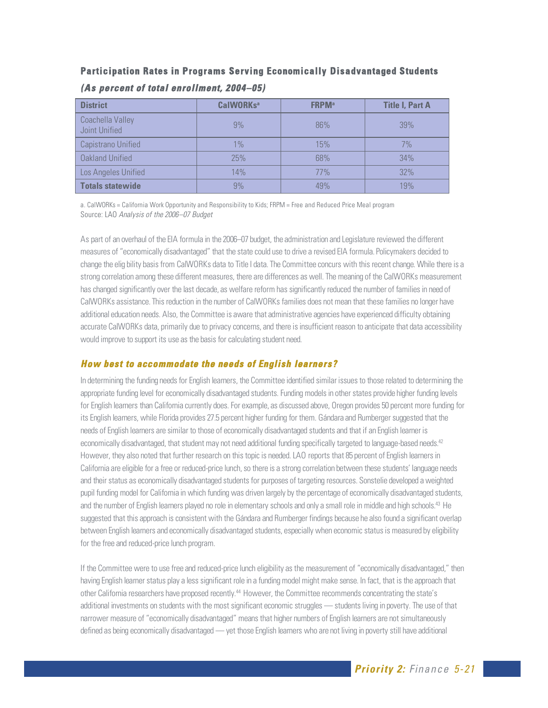# **Participation Rates in Programs Serving Economically Disadvantaged Students**

| <b>District</b>                   | CalWORKs <sup>a</sup> | <b>FRPM</b> <sup>a</sup> | <b>Title I, Part A</b> |
|-----------------------------------|-----------------------|--------------------------|------------------------|
| Coachella Valley<br>Joint Unified | 9%                    | 86%                      | 39%                    |
| Capistrano Unified                | 1%                    | 15%                      | 7%                     |
| Oakland Unified                   | 25%                   | 68%                      | 34%                    |
| Los Angeles Unified               | 14%                   | 77%                      | 32%                    |
| <b>Totals statewide</b>           | 9%                    | 49%                      | 19%                    |

#### **(As percent of total enrollment, 2004–05)**

a. CalWORKs = California Work Opportunity and Responsibility to Kids; FRPM = Free and Reduced Price Meal program Source: LAO Analysis of the 2006–07 Budget

As part of an overhaul of the EIA formula in the 2006–07 budget, the administration and Legislature reviewed the different measures of "economically disadvantaged" that the state could use to drive a revised EIA formula. Policymakers decided to change the elig bility basis from CalWORKs data to Title I data. The Committee concurs with this recent change. While there is a strong correlation among these different measures, there are differences as well. The meaning of the CalWORKs measurement has changed significantly over the last decade, as welfare reform has significantly reduced the number of families in need of CalWORKs assistance. This reduction in the number of CalWORKs families does not mean that these families no longer have additional education needs. Also, the Committee is aware that administrative agencies have experienced difficulty obtaining accurate CalWORKs data, primarily due to privacy concerns, and there is insufficient reason to anticipate that data accessibility would improve to support its use as the basis for calculating student need.

#### **How best to accommodate the needs of English learners?**

In determining the funding needs for English learners, the Committee identified similar issues to those related to determining the appropriate funding level for economically disadvantaged students. Funding models in other states provide higher funding levels for English learners than California currently does. For example, as discussed above, Oregon provides 50 percent more funding for its English learners, while Florida provides 27.5 percent higher funding for them. Gándara and Rumberger suggested that the needs of English learners are similar to those of economically disadvantaged students and that if an English learner is economically disadvantaged, that student may not need additional funding specifically targeted to language-based needs.<sup>42</sup> However, they also noted that further research on this topic is needed. LAO reports that 85 percent of English learners in California are eligible for a free or reduced-price lunch, so there is a strong correlation between these students' language needs and their status as economically disadvantaged students for purposes of targeting resources. Sonstelie developed a weighted pupil funding model for California in which funding was driven largely by the percentage of economically disadvantaged students, and the number of English learners played no role in elementary schools and only a small role in middle and high schools.<sup>43</sup> He suggested that this approach is consistent with the Gándara and Rumberger findings because he also found a significant overlap between English learners and economically disadvantaged students, especially when economic status is measured by eligibility for the free and reduced-price lunch program.

If the Committee were to use free and reduced-price lunch eligibility as the measurement of "economically disadvantaged," then having English learner status play a less significant role in a funding model might make sense. In fact, that is the approach that other California researchers have proposed recently.<sup>44</sup> However, the Committee recommends concentrating the state's additional investments on students with the most significant economic struggles — students living in poverty. The use of that narrower measure of "economically disadvantaged" means that higher numbers of English learners are not simultaneously defined as being economically disadvantaged — yet those English learners who are not living in poverty still have additional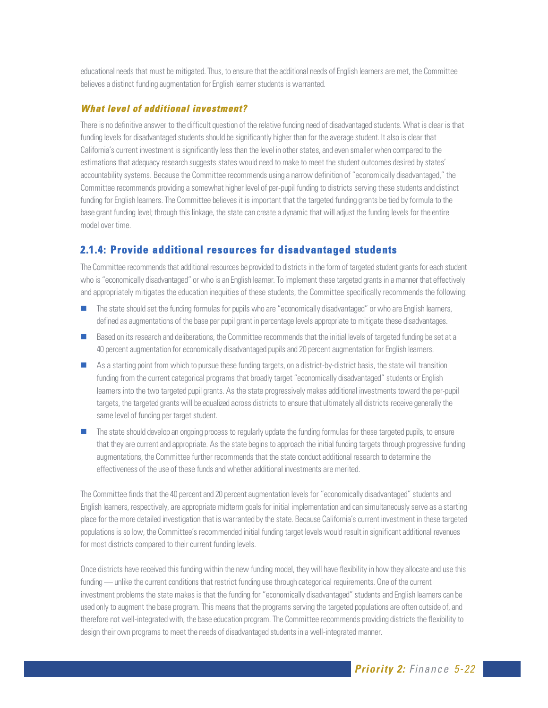educational needs that must be mitigated. Thus, to ensure that the additional needs of English learners are met, the Committee believes a distinct funding augmentation for English learner students is warranted.

#### **What level of additional investment?**

There is no definitive answer to the difficult question of the relative funding need of disadvantaged students. What is clear is that funding levels for disadvantaged students should be significantly higher than for the average student. It also is clear that California's current investment is significantly less than the level in other states, and even smaller when compared to the estimations that adequacy research suggests states would need to make to meet the student outcomes desired by states' accountability systems. Because the Committee recommends using a narrow definition of "economically disadvantaged," the Committee recommends providing a somewhat higher level of per-pupil funding to districts serving these students and distinct funding for English learners. The Committee believes it is important that the targeted funding grants be tied by formula to the base grant funding level; through this linkage, the state can create a dynamic that will adjust the funding levels for the entire model over time.

#### **2.1.4: Provide additional resources for disadvantaged students**

The Committee recommends that additional resources be provided to districts in the form of targeted student grants for each student who is "economically disadvantaged" or who is an English learner. To implement these targeted grants in a manner that effectively and appropriately mitigates the education inequities of these students, the Committee specifically recommends the following:

- The state should set the funding formulas for pupils who are "economically disadvantaged" or who are English learners, defined as augmentations of the base per pupil grant in percentage levels appropriate to mitigate these disadvantages.
- Based on its research and deliberations, the Committee recommends that the initial levels of targeted funding be set at a 40 percent augmentation for economically disadvantaged pupils and 20 percent augmentation for English learners.
- $\blacksquare$  As a starting point from which to pursue these funding targets, on a district-by-district basis, the state will transition funding from the current categorical programs that broadly target "economically disadvantaged" students or English learners into the two targeted pupil grants. As the state progressively makes additional investments toward the per-pupil targets, the targeted grants will be equalized across districts to ensure that ultimately all districts receive generally the same level of funding per target student.
- The state should develop an ongoing process to regularly update the funding formulas for these targeted pupils, to ensure that they are current and appropriate. As the state begins to approach the initial funding targets through progressive funding augmentations, the Committee further recommends that the state conduct additional research to determine the effectiveness of the use of these funds and whether additional investments are merited.

The Committee finds that the 40 percent and 20 percent augmentation levels for "economically disadvantaged" students and English learners, respectively, are appropriate midterm goals for initial implementation and can simultaneously serve as a starting place for the more detailed investigation that is warranted by the state. Because California's current investment in these targeted populations is so low, the Committee's recommended initial funding target levels would result in significant additional revenues for most districts compared to their current funding levels.

Once districts have received this funding within the new funding model, they will have flexibility in how they allocate and use this funding — unlike the current conditions that restrict funding use through categorical requirements. One of the current investment problems the state makes is that the funding for "economically disadvantaged" students and English learners can be used only to augment the base program. This means that the programs serving the targeted populations are often outside of, and therefore not well-integrated with, the base education program. The Committee recommends providing districts the flexibility to design their own programs to meet the needs of disadvantaged students in a well-integrated manner.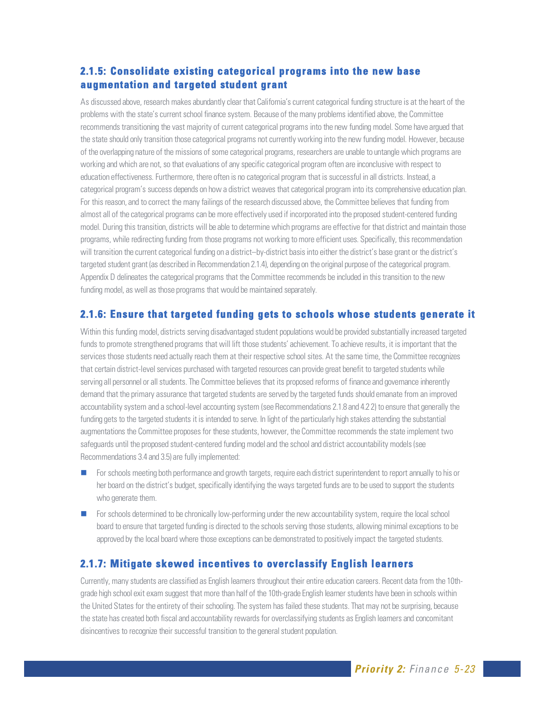# **2.1.5: Consolidate existing categorical programs into the new base augmentation and targeted student grant**

As discussed above, research makes abundantly clear that California's current categorical funding structure is at the heart of the problems with the state's current school finance system. Because of the many problems identified above, the Committee recommends transitioning the vast majority of current categorical programs into the new funding model. Some have argued that the state should only transition those categorical programs not currently working into the new funding model. However, because of the overlapping nature of the missions of some categorical programs, researchers are unable to untangle which programs are working and which are not, so that evaluations of any specific categorical program often are inconclusive with respect to education effectiveness. Furthermore, there often is no categorical program that is successful in all districts. Instead, a categorical program's success depends on how a district weaves that categorical program into its comprehensive education plan. For this reason, and to correct the many failings of the research discussed above, the Committee believes that funding from almost all of the categorical programs can be more effectively used if incorporated into the proposed student-centered funding model. During this transition, districts will be able to determine which programs are effective for that district and maintain those programs, while redirecting funding from those programs not working to more efficient uses. Specifically, this recommendation will transition the current categorical funding on a district–by-district basis into either the district's base grant or the district's targeted student grant (as described in Recommendation 2.1.4), depending on the original purpose of the categorical program. Appendix D delineates the categorical programs that the Committee recommends be included in this transition to the new funding model, as well as those programs that would be maintained separately.

#### **2.1.6: Ensure that targeted funding gets to schools whose students generate it**

Within this funding model, districts serving disadvantaged student populations would be provided substantially increased targeted funds to promote strengthened programs that will lift those students' achievement. To achieve results, it is important that the services those students need actually reach them at their respective school sites. At the same time, the Committee recognizes that certain district-level services purchased with targeted resources can provide great benefit to targeted students while serving all personnel or all students. The Committee believes that its proposed reforms of finance and governance inherently demand that the primary assurance that targeted students are served by the targeted funds should emanate from an improved accountability system and a school-level accounting system (see Recommendations 2.1.8 and 4.2 2) to ensure that generally the funding gets to the targeted students it is intended to serve. In light of the particularly high stakes attending the substantial augmentations the Committee proposes for these students, however, the Committee recommends the state implement two safeguards until the proposed student-centered funding model and the school and district accountability models (see Recommendations 3.4 and 3.5) are fully implemented:

- **For schools meeting both performance and growth targets, require each district superintendent to report annually to his or** her board on the district's budget, specifically identifying the ways targeted funds are to be used to support the students who generate them.
- For schools determined to be chronically low-performing under the new accountability system, require the local school board to ensure that targeted funding is directed to the schools serving those students, allowing minimal exceptions to be approved by the local board where those exceptions can be demonstrated to positively impact the targeted students.

# **2.1.7: Mitigate skewed incentives to overclassify English learners**

Currently, many students are classified as English learners throughout their entire education careers. Recent data from the 10thgrade high school exit exam suggest that more than half of the 10th-grade English learner students have been in schools within the United States for the entirety of their schooling. The system has failed these students. That may not be surprising, because the state has created both fiscal and accountability rewards for overclassifying students as English learners and concomitant disincentives to recognize their successful transition to the general student population.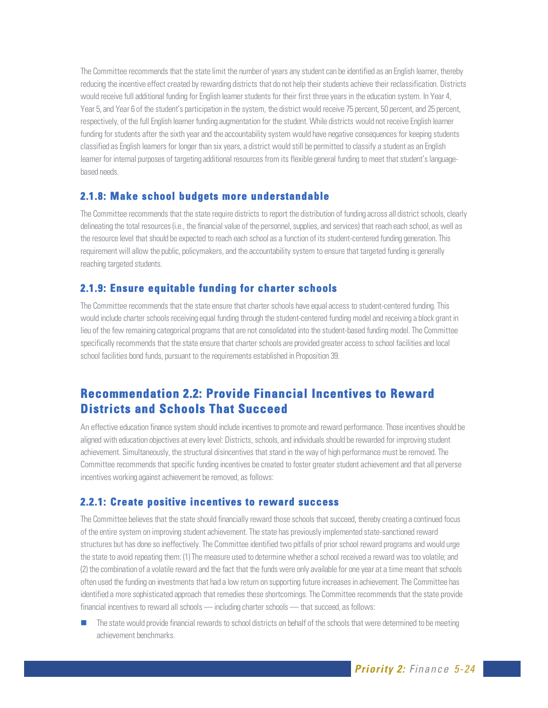The Committee recommends that the state limit the number of years any student can be identified as an English learner, thereby reducing the incentive effect created by rewarding districts that do not help their students achieve their reclassification. Districts would receive full additional funding for English learner students for their first three years in the education system. In Year 4, Year 5, and Year 6 of the student's participation in the system, the district would receive 75 percent, 50 percent, and 25 percent, respectively, of the full English learner funding augmentation for the student. While districts would not receive English learner funding for students after the sixth year and the accountability system would have negative consequences for keeping students classified as English learners for longer than six years, a district would still be permitted to classify a student as an English learner for internal purposes of targeting additional resources from its flexible general funding to meet that student's languagebased needs.

#### **2.1.8: Make school budgets more understandable**

The Committee recommends that the state require districts to report the distribution of funding across all district schools, clearly delineating the total resources (i.e., the financial value of the personnel, supplies, and services) that reach each school, as well as the resource level that should be expected to reach each school as a function of its student-centered funding generation. This requirement will allow the public, policymakers, and the accountability system to ensure that targeted funding is generally reaching targeted students.

#### **2.1.9: Ensure equitable funding for charter schools**

The Committee recommends that the state ensure that charter schools have equal access to student-centered funding. This would include charter schools receiving equal funding through the student-centered funding model and receiving a block grant in lieu of the few remaining categorical programs that are not consolidated into the student-based funding model. The Committee specifically recommends that the state ensure that charter schools are provided greater access to school facilities and local school facilities bond funds, pursuant to the requirements established in Proposition 39.

# **Recommendation 2.2: Provide Financial Incentives to Reward Districts and Schools That Succeed**

An effective education finance system should include incentives to promote and reward performance. Those incentives should be aligned with education objectives at every level: Districts, schools, and individuals should be rewarded for improving student achievement. Simultaneously, the structural disincentives that stand in the way of high performance must be removed. The Committee recommends that specific funding incentives be created to foster greater student achievement and that all perverse incentives working against achievement be removed, as follows:

#### **2.2.1: Create positive incentives to reward success**

The Committee believes that the state should financially reward those schools that succeed, thereby creating a continued focus of the entire system on improving student achievement. The state has previously implemented state-sanctioned reward structures but has done so ineffectively. The Committee identified two pitfalls of prior school reward programs and would urge the state to avoid repeating them: (1) The measure used to determine whether a school received a reward was too volatile; and (2) the combination of a volatile reward and the fact that the funds were only available for one year at a time meant that schools often used the funding on investments that had a low return on supporting future increases in achievement. The Committee has identified a more sophisticated approach that remedies these shortcomings. The Committee recommends that the state provide financial incentives to reward all schools — including charter schools — that succeed, as follows:

 The state would provide financial rewards to school districts on behalf of the schools that were determined to be meeting achievement benchmarks.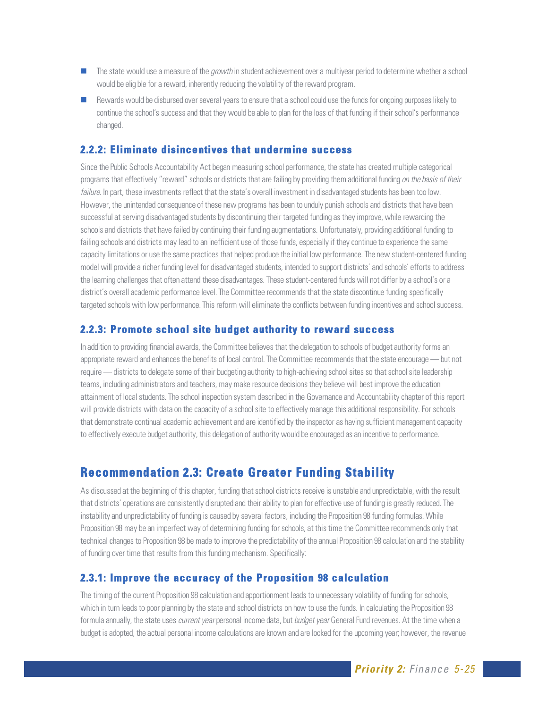- The state would use a measure of the growth in student achievement over a multiyear period to determine whether a school would be elig ble for a reward, inherently reducing the volatility of the reward program.
- Rewards would be disbursed over several years to ensure that a school could use the funds for ongoing purposes likely to continue the school's success and that they would be able to plan for the loss of that funding if their school's performance changed.

#### **2.2.2: Eliminate disincentives that undermine success**

Since the Public Schools Accountability Act began measuring school performance, the state has created multiple categorical programs that effectively "reward" schools or districts that are failing by providing them additional funding on the basis of their failure. In part, these investments reflect that the state's overall investment in disadvantaged students has been too low. However, the unintended consequence of these new programs has been to unduly punish schools and districts that have been successful at serving disadvantaged students by discontinuing their targeted funding as they improve, while rewarding the schools and districts that have failed by continuing their funding augmentations. Unfortunately, providing additional funding to failing schools and districts may lead to an inefficient use of those funds, especially if they continue to experience the same capacity limitations or use the same practices that helped produce the initial low performance. The new student-centered funding model will provide a richer funding level for disadvantaged students, intended to support districts' and schools' efforts to address the learning challenges that often attend these disadvantages. These student-centered funds will not differ by a school's or a district's overall academic performance level. The Committee recommends that the state discontinue funding specifically targeted schools with low performance. This reform will eliminate the conflicts between funding incentives and school success.

#### **2.2.3: Promote school site budget authority to reward success**

In addition to providing financial awards, the Committee believes that the delegation to schools of budget authority forms an appropriate reward and enhances the benefits of local control. The Committee recommends that the state encourage — but not require — districts to delegate some of their budgeting authority to high-achieving school sites so that school site leadership teams, including administrators and teachers, may make resource decisions they believe will best improve the education attainment of local students. The school inspection system described in the Governance and Accountability chapter of this report will provide districts with data on the capacity of a school site to effectively manage this additional responsibility. For schools that demonstrate continual academic achievement and are identified by the inspector as having sufficient management capacity to effectively execute budget authority, this delegation of authority would be encouraged as an incentive to performance.

# **Recommendation 2.3: Create Greater Funding Stability**

As discussed at the beginning of this chapter, funding that school districts receive is unstable and unpredictable, with the result that districts' operations are consistently disrupted and their ability to plan for effective use of funding is greatly reduced. The instability and unpredictability of funding is caused by several factors, including the Proposition 98 funding formulas. While Proposition 98 may be an imperfect way of determining funding for schools, at this time the Committee recommends only that technical changes to Proposition 98 be made to improve the predictability of the annual Proposition 98 calculation and the stability of funding over time that results from this funding mechanism. Specifically:

#### **2.3.1: Improve the accuracy of the Proposition 98 calculation**

The timing of the current Proposition 98 calculation and apportionment leads to unnecessary volatility of funding for schools, which in turn leads to poor planning by the state and school districts on how to use the funds. In calculating the Proposition 98 formula annually, the state uses current year personal income data, but budget year General Fund revenues. At the time when a budget is adopted, the actual personal income calculations are known and are locked for the upcoming year; however, the revenue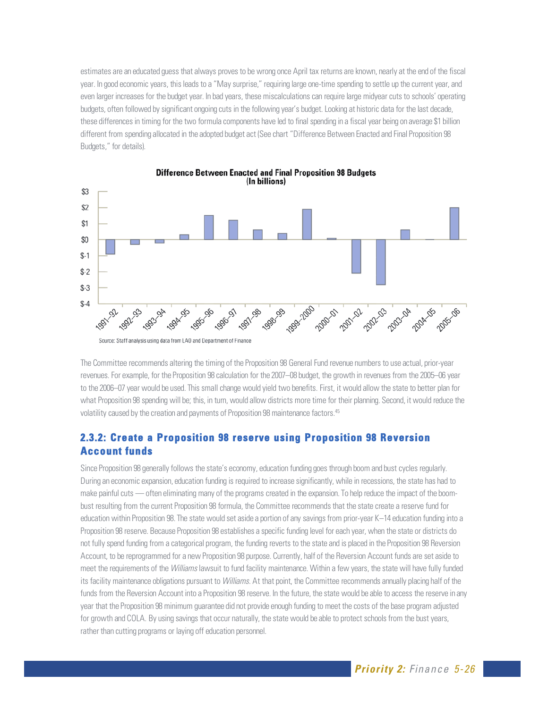estimates are an educated guess that always proves to be wrong once April tax returns are known, nearly at the end of the fiscal year. In good economic years, this leads to a "May surprise," requiring large one-time spending to settle up the current year, and even larger increases for the budget year. In bad years, these miscalculations can require large midyear cuts to schools' operating budgets, often followed by significant ongoing cuts in the following year's budget. Looking at historic data for the last decade, these differences in timing for the two formula components have led to final spending in a fiscal year being on average \$1 billion different from spending allocated in the adopted budget act (See chart "Difference Between Enacted and Final Proposition 98 Budgets," for details).



**Difference Between Enacted and Final Proposition 98 Budgets** (In billions)

The Committee recommends altering the timing of the Proposition 98 General Fund revenue numbers to use actual, prior-year revenues. For example, for the Proposition 98 calculation for the 2007–08 budget, the growth in revenues from the 2005–06 year to the 2006–07 year would be used. This small change would yield two benefits. First, it would allow the state to better plan for what Proposition 98 spending will be; this, in turn, would allow districts more time for their planning. Second, it would reduce the volatility caused by the creation and payments of Proposition 98 maintenance factors.<sup>45</sup>

# **2.3.2: Create a Proposition 98 reserve using Proposition 98 Reversion Account funds**

Since Proposition 98 generally follows the state's economy, education funding goes through boom and bust cycles regularly. During an economic expansion, education funding is required to increase significantly, while in recessions, the state has had to make painful cuts — often eliminating many of the programs created in the expansion. To help reduce the impact of the boombust resulting from the current Proposition 98 formula, the Committee recommends that the state create a reserve fund for education within Proposition 98. The state would set aside a portion of any savings from prior-year K–14 education funding into a Proposition 98 reserve. Because Proposition 98 establishes a specific funding level for each year, when the state or districts do not fully spend funding from a categorical program, the funding reverts to the state and is placed in the Proposition 98 Reversion Account, to be reprogrammed for a new Proposition 98 purpose. Currently, half of the Reversion Account funds are set aside to meet the requirements of the Williams lawsuit to fund facility maintenance. Within a few years, the state will have fully funded its facility maintenance obligations pursuant to *Williams*. At that point, the Committee recommends annually placing half of the funds from the Reversion Account into a Proposition 98 reserve. In the future, the state would be able to access the reserve in any year that the Proposition 98 minimum guarantee did not provide enough funding to meet the costs of the base program adjusted for growth and COLA. By using savings that occur naturally, the state would be able to protect schools from the bust years, rather than cutting programs or laying off education personnel.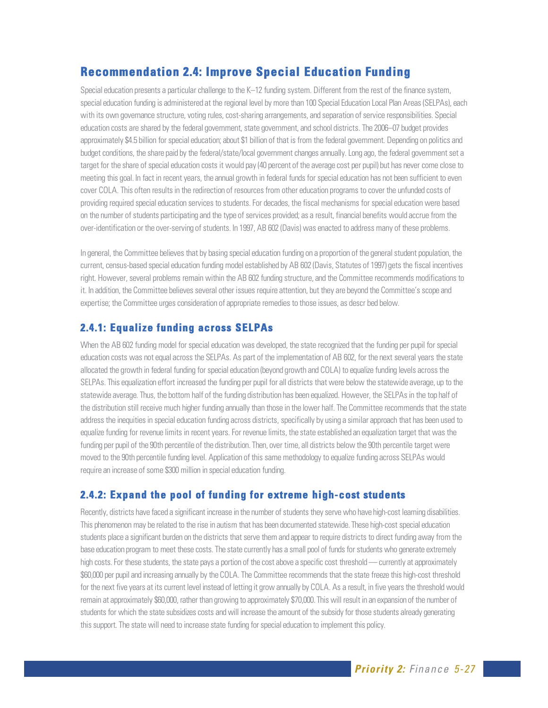# **Recommendation 2.4: Improve Special Education Funding**

Special education presents a particular challenge to the K–12 funding system. Different from the rest of the finance system, special education funding is administered at the regional level by more than 100 Special Education Local Plan Areas (SELPAs), each with its own governance structure, voting rules, cost-sharing arrangements, and separation of service responsibilities. Special education costs are shared by the federal government, state government, and school districts. The 2006–07 budget provides approximately \$4.5 billion for special education; about \$1 billion of that is from the federal government. Depending on politics and budget conditions, the share paid by the federal/state/local government changes annually. Long ago, the federal government set a target for the share of special education costs it would pay (40 percent of the average cost per pupil) but has never come close to meeting this goal. In fact in recent years, the annual growth in federal funds for special education has not been sufficient to even cover COLA. This often results in the redirection of resources from other education programs to cover the unfunded costs of providing required special education services to students. For decades, the fiscal mechanisms for special education were based on the number of students participating and the type of services provided; as a result, financial benefits would accrue from the over-identification or the over-serving of students. In 1997, AB 602 (Davis) was enacted to address many of these problems.

In general, the Committee believes that by basing special education funding on a proportion of the general student population, the current, census-based special education funding model established by AB 602 (Davis, Statutes of 1997) gets the fiscal incentives right. However, several problems remain within the AB 602 funding structure, and the Committee recommends modifications to it. In addition, the Committee believes several other issues require attention, but they are beyond the Committee's scope and expertise; the Committee urges consideration of appropriate remedies to those issues, as descr bed below.

# **2.4.1: Equalize funding across SELPAs**

When the AB 602 funding model for special education was developed, the state recognized that the funding per pupil for special education costs was not equal across the SELPAs. As part of the implementation of AB 602, for the next several years the state allocated the growth in federal funding for special education (beyond growth and COLA) to equalize funding levels across the SELPAs. This equalization effort increased the funding per pupil for all districts that were below the statewide average, up to the statewide average. Thus, the bottom half of the funding distribution has been equalized. However, the SELPAs in the top half of the distribution still receive much higher funding annually than those in the lower half. The Committee recommends that the state address the inequities in special education funding across districts, specifically by using a similar approach that has been used to equalize funding for revenue limits in recent years. For revenue limits, the state established an equalization target that was the funding per pupil of the 90th percentile of the distribution. Then, over time, all districts below the 90th percentile target were moved to the 90th percentile funding level. Application of this same methodology to equalize funding across SELPAs would require an increase of some \$300 million in special education funding.

# **2.4.2: Expand the pool of funding for extreme high-cost students**

Recently, districts have faced a significant increase in the number of students they serve who have high-cost learning disabilities. This phenomenon may be related to the rise in autism that has been documented statewide. These high-cost special education students place a significant burden on the districts that serve them and appear to require districts to direct funding away from the base education program to meet these costs. The state currently has a small pool of funds for students who generate extremely high costs. For these students, the state pays a portion of the cost above a specific cost threshold — currently at approximately \$60,000 per pupil and increasing annually by the COLA. The Committee recommends that the state freeze this high-cost threshold for the next five years at its current level instead of letting it grow annually by COLA. As a result, in five years the threshold would remain at approximately \$60,000, rather than growing to approximately \$70,000. This will result in an expansion of the number of students for which the state subsidizes costs and will increase the amount of the subsidy for those students already generating this support. The state will need to increase state funding for special education to implement this policy.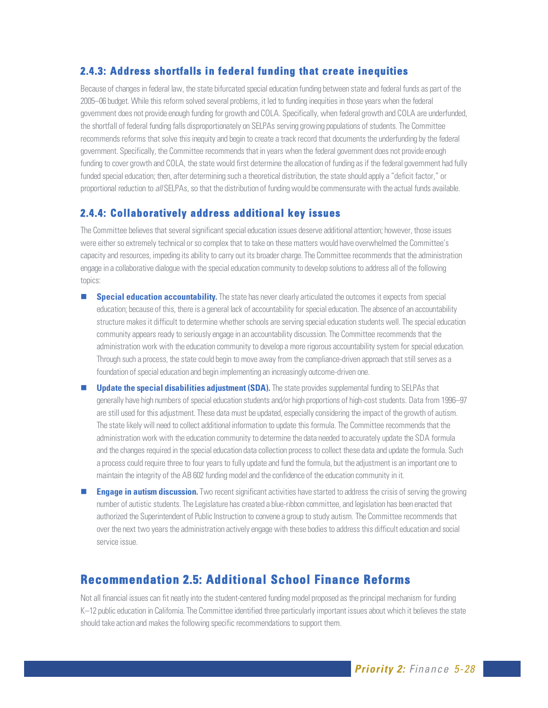# **2.4.3: Address shortfalls in federal funding that create inequities**

Because of changes in federal law, the state bifurcated special education funding between state and federal funds as part of the 2005–06 budget. While this reform solved several problems, it led to funding inequities in those years when the federal government does not provide enough funding for growth and COLA. Specifically, when federal growth and COLA are underfunded, the shortfall of federal funding falls disproportionately on SELPAs serving growing populations of students. The Committee recommends reforms that solve this inequity and begin to create a track record that documents the underfunding by the federal government. Specifically, the Committee recommends that in years when the federal government does not provide enough funding to cover growth and COLA, the state would first determine the allocation of funding as if the federal government had fully funded special education; then, after determining such a theoretical distribution, the state should apply a "deficit factor," or proportional reduction to all SELPAs, so that the distribution of funding would be commensurate with the actual funds available.

# **2.4.4: Collaboratively address additional key issues**

The Committee believes that several significant special education issues deserve additional attention; however, those issues were either so extremely technical or so complex that to take on these matters would have overwhelmed the Committee's capacity and resources, impeding its ability to carry out its broader charge. The Committee recommends that the administration engage in a collaborative dialogue with the special education community to develop solutions to address all of the following topics:

- **Special education accountability.** The state has never clearly articulated the outcomes it expects from special education; because of this, there is a general lack of accountability for special education. The absence of an accountability structure makes it difficult to determine whether schools are serving special education students well. The special education community appears ready to seriously engage in an accountability discussion. The Committee recommends that the administration work with the education community to develop a more rigorous accountability system for special education. Through such a process, the state could begin to move away from the compliance-driven approach that still serves as a foundation of special education and begin implementing an increasingly outcome-driven one.
- **Update the special disabilities adjustment (SDA).** The state provides supplemental funding to SELPAs that generally have high numbers of special education students and/or high proportions of high-cost students. Data from 1996–97 are still used for this adjustment. These data must be updated, especially considering the impact of the growth of autism. The state likely will need to collect additional information to update this formula. The Committee recommends that the administration work with the education community to determine the data needed to accurately update the SDA formula and the changes required in the special education data collection process to collect these data and update the formula. Such a process could require three to four years to fully update and fund the formula, but the adjustment is an important one to maintain the integrity of the AB 602 funding model and the confidence of the education community in it.
- **Engage in autism discussion.** Two recent significant activities have started to address the crisis of serving the growing number of autistic students. The Legislature has created a blue-ribbon committee, and legislation has been enacted that authorized the Superintendent of Public Instruction to convene a group to study autism. The Committee recommends that over the next two years the administration actively engage with these bodies to address this difficult education and social service issue.

# **Recommendation 2.5: Additional School Finance Reforms**

Not all financial issues can fit neatly into the student-centered funding model proposed as the principal mechanism for funding K–12 public education in California. The Committee identified three particularly important issues about which it believes the state should take action and makes the following specific recommendations to support them.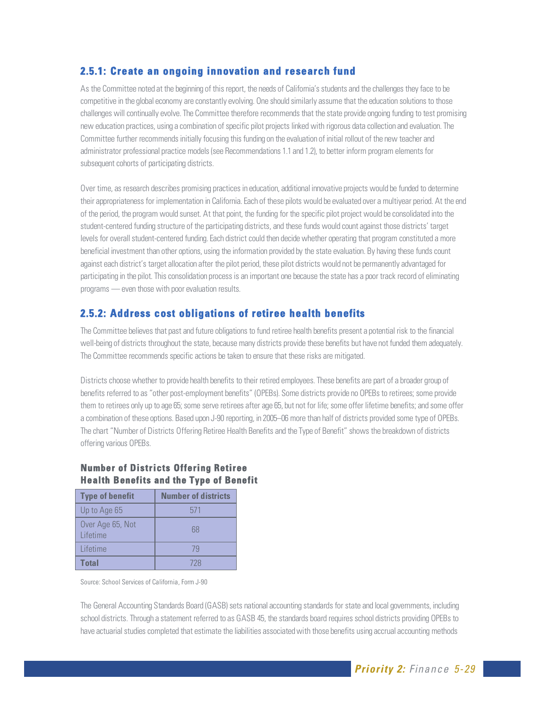# **2.5.1: Create an ongoing innovation and research fund**

As the Committee noted at the beginning of this report, the needs of California's students and the challenges they face to be competitive in the global economy are constantly evolving. One should similarly assume that the education solutions to those challenges will continually evolve. The Committee therefore recommends that the state provide ongoing funding to test promising new education practices, using a combination of specific pilot projects linked with rigorous data collection and evaluation. The Committee further recommends initially focusing this funding on the evaluation of initial rollout of the new teacher and administrator professional practice models (see Recommendations 1.1 and 1.2), to better inform program elements for subsequent cohorts of participating districts.

Over time, as research describes promising practices in education, additional innovative projects would be funded to determine their appropriateness for implementation in California. Each of these pilots would be evaluated over a multiyear period. At the end of the period, the program would sunset. At that point, the funding for the specific pilot project would be consolidated into the student-centered funding structure of the participating districts, and these funds would count against those districts' target levels for overall student-centered funding. Each district could then decide whether operating that program constituted a more beneficial investment than other options, using the information provided by the state evaluation. By having these funds count against each district's target allocation after the pilot period, these pilot districts would not be permanently advantaged for participating in the pilot. This consolidation process is an important one because the state has a poor track record of eliminating programs — even those with poor evaluation results.

# **2.5.2: Address cost obligations of retiree health benefits**

The Committee believes that past and future obligations to fund retiree health benefits present a potential risk to the financial well-being of districts throughout the state, because many districts provide these benefits but have not funded them adequately. The Committee recommends specific actions be taken to ensure that these risks are mitigated.

Districts choose whether to provide health benefits to their retired employees. These benefits are part of a broader group of benefits referred to as "other post-employment benefits" (OPEBs). Some districts provide no OPEBs to retirees; some provide them to retirees only up to age 65; some serve retirees after age 65, but not for life; some offer lifetime benefits; and some offer a combination of these options. Based upon J-90 reporting, in 2005–06 more than half of districts provided some type of OPEBs. The chart "Number of Districts Offering Retiree Health Benefits and the Type of Benefit" shows the breakdown of districts offering various OPEBs.

#### **Number of Districts Offering Retiree Health Benefits and the Type of Benefit**

| <b>Type of benefit</b>              | <b>Number of districts</b> |
|-------------------------------------|----------------------------|
| Up to Age 65                        | 571                        |
| Over Age 65, Not<br><b>Lifetime</b> | 68                         |
| l ifetime                           | 79                         |
| <b>Total</b>                        | 728                        |

Source: School Services of California, Form J-90

The General Accounting Standards Board (GASB) sets national accounting standards for state and local governments, including school districts. Through a statement referred to as GASB 45, the standards board requires school districts providing OPEBs to have actuarial studies completed that estimate the liabilities associated with those benefits using accrual accounting methods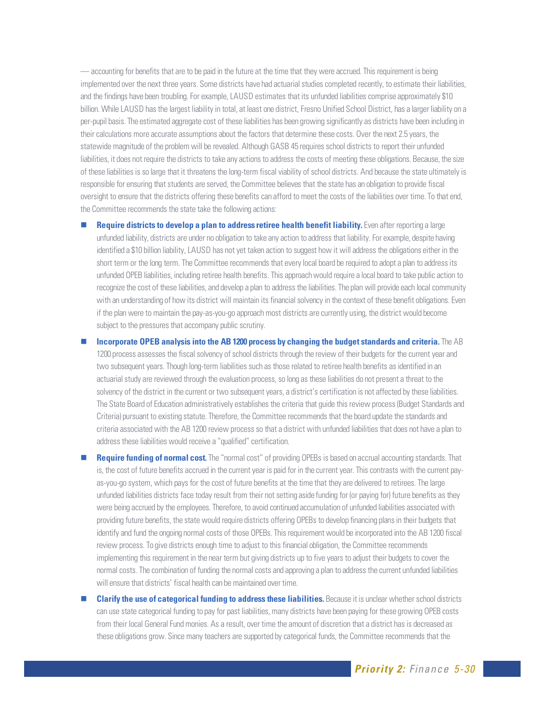— accounting for benefits that are to be paid in the future at the time that they were accrued. This requirement is being implemented over the next three years. Some districts have had actuarial studies completed recently, to estimate their liabilities, and the findings have been troubling. For example, LAUSD estimates that its unfunded liabilities comprise approximately \$10 billion. While LAUSD has the largest liability in total, at least one district, Fresno Unified School District, has a larger liability on a per-pupil basis. The estimated aggregate cost of these liabilities has been growing significantly as districts have been including in their calculations more accurate assumptions about the factors that determine these costs. Over the next 2.5 years, the statewide magnitude of the problem will be revealed. Although GASB 45 requires school districts to report their unfunded liabilities, it does not require the districts to take any actions to address the costs of meeting these obligations. Because, the size of these liabilities is so large that it threatens the long-term fiscal viability of school districts. And because the state ultimately is responsible for ensuring that students are served, the Committee believes that the state has an obligation to provide fiscal oversight to ensure that the districts offering these benefits can afford to meet the costs of the liabilities over time. To that end, the Committee recommends the state take the following actions:

**Require districts to develop a plan to address retiree health benefit liability.** Even after reporting a large unfunded liability, districts are under no obligation to take any action to address that liability. For example, despite having identified a \$10 billion liability, LAUSD has not yet taken action to suggest how it will address the obligations either in the short term or the long term. The Committee recommends that every local board be required to adopt a plan to address its unfunded OPEB liabilities, including retiree health benefits. This approach would require a local board to take public action to recognize the cost of these liabilities, and develop a plan to address the liabilities. The plan will provide each local community with an understanding of how its district will maintain its financial solvency in the context of these benefit obligations. Even if the plan were to maintain the pay-as-you-go approach most districts are currently using, the district would become subject to the pressures that accompany public scrutiny.

 **Incorporate OPEB analysis into the AB 1200 process by changing the budget standards and criteria.** The AB 1200 process assesses the fiscal solvency of school districts through the review of their budgets for the current year and two subsequent years. Though long-term liabilities such as those related to retiree health benefits as identified in an actuarial study are reviewed through the evaluation process, so long as these liabilities do not present a threat to the solvency of the district in the current or two subsequent years, a district's certification is not affected by these liabilities. The State Board of Education administratively establishes the criteria that guide this review process (Budget Standards and Criteria) pursuant to existing statute. Therefore, the Committee recommends that the board update the standards and criteria associated with the AB 1200 review process so that a district with unfunded liabilities that does not have a plan to address these liabilities would receive a "qualified" certification.

**Require funding of normal cost.** The "normal cost" of providing OPEBs is based on accrual accounting standards. That is, the cost of future benefits accrued in the current year is paid for in the current year. This contrasts with the current payas-you-go system, which pays for the cost of future benefits at the time that they are delivered to retirees. The large unfunded liabilities districts face today result from their not setting aside funding for (or paying for) future benefits as they were being accrued by the employees. Therefore, to avoid continued accumulation of unfunded liabilities associated with providing future benefits, the state would require districts offering OPEBs to develop financing plans in their budgets that identify and fund the ongoing normal costs of those OPEBs. This requirement would be incorporated into the AB 1200 fiscal review process. To give districts enough time to adjust to this financial obligation, the Committee recommends implementing this requirement in the near term but giving districts up to five years to adjust their budgets to cover the normal costs. The combination of funding the normal costs and approving a plan to address the current unfunded liabilities will ensure that districts' fiscal health can be maintained over time.

**Clarify the use of categorical funding to address these liabilities.** Because it is unclear whether school districts can use state categorical funding to pay for past liabilities, many districts have been paying for these growing OPEB costs from their local General Fund monies. As a result, over time the amount of discretion that a district has is decreased as these obligations grow. Since many teachers are supported by categorical funds, the Committee recommends that the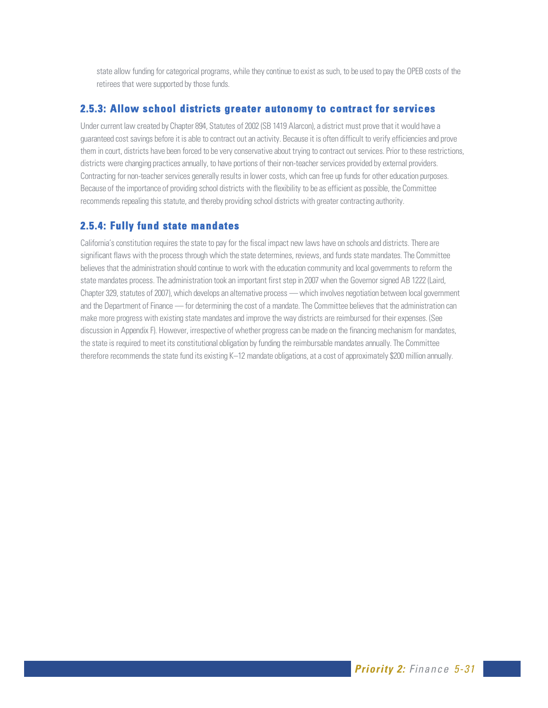state allow funding for categorical programs, while they continue to exist as such, to be used to pay the OPEB costs of the retirees that were supported by those funds.

#### **2.5.3: Allow school districts greater autonomy to contract for services**

Under current law created by Chapter 894, Statutes of 2002 (SB 1419 Alarcon), a district must prove that it would have a guaranteed cost savings before it is able to contract out an activity. Because it is often difficult to verify efficiencies and prove them in court, districts have been forced to be very conservative about trying to contract out services. Prior to these restrictions, districts were changing practices annually, to have portions of their non-teacher services provided by external providers. Contracting for non-teacher services generally results in lower costs, which can free up funds for other education purposes. Because of the importance of providing school districts with the flexibility to be as efficient as possible, the Committee recommends repealing this statute, and thereby providing school districts with greater contracting authority.

#### **2.5.4: Fully fund state mandates**

California's constitution requires the state to pay for the fiscal impact new laws have on schools and districts. There are significant flaws with the process through which the state determines, reviews, and funds state mandates. The Committee believes that the administration should continue to work with the education community and local governments to reform the state mandates process. The administration took an important first step in 2007 when the Governor signed AB 1222 (Laird, Chapter 329, statutes of 2007), which develops an alternative process — which involves negotiation between local government and the Department of Finance — for determining the cost of a mandate. The Committee believes that the administration can make more progress with existing state mandates and improve the way districts are reimbursed for their expenses. (See discussion in Appendix F). However, irrespective of whether progress can be made on the financing mechanism for mandates, the state is required to meet its constitutional obligation by funding the reimbursable mandates annually. The Committee therefore recommends the state fund its existing K–12 mandate obligations, at a cost of approximately \$200 million annually.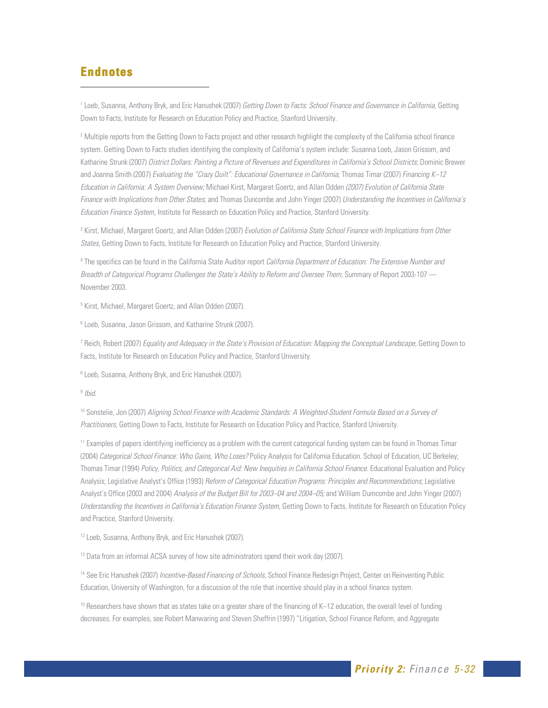# **Endnotes**

 $\overline{a}$ 

1 Loeb, Susanna, Anthony Bryk, and Eric Hanushek (2007) Getting Down to Facts: School Finance and Governance in California, Getting Down to Facts, Institute for Research on Education Policy and Practice, Stanford University.

<sup>2</sup> Multiple reports from the Getting Down to Facts project and other research highlight the complexity of the California school finance system. Getting Down to Facts studies identifying the complexity of California's system include: Susanna Loeb, Jason Grissom, and Katharine Strunk (2007) District Dollars: Painting a Picture of Revenues and Expenditures in California's School Districts; Dominic Brewer and Joanna Smith (2007) Evaluating the "Crazy Quilt": Educational Governance in California; Thomas Timar (2007) Financing K–12 Education in California: A System Overview; Michael Kirst, Margaret Goertz, and Allan Odden (2007) Evolution of California State Finance with Implications from Other States; and Thomas Duncombe and John Yinger (2007) Understanding the Incentives in California's Education Finance System, Institute for Research on Education Policy and Practice, Stanford University.

<sup>3</sup> Kirst, Michael, Margaret Goertz, and Allan Odden (2007) Evolution of California State School Finance with Implications from Other States, Getting Down to Facts, Institute for Research on Education Policy and Practice, Stanford University.

<sup>4</sup> The specifics can be found in the California State Auditor report *California Department of Education: The Extensive Number and* Breadth of Categorical Programs Challenges the State's Ability to Reform and Oversee Them, Summary of Report 2003-107 -November 2003.

<sup>5</sup> Kirst, Michael, Margaret Goertz, and Allan Odden (2007).

6 Loeb, Susanna, Jason Grissom, and Katharine Strunk (2007).

<sup>7</sup> Reich, Robert (2007) *Equality and Adequacy in the State's Provision of Education: Mapping the Conceptual Landscape, Getting Down to* Facts, Institute for Research on Education Policy and Practice, Stanford University.

<sup>8</sup> Loeb, Susanna, Anthony Bryk, and Eric Hanushek (2007).

 $9$  lhid

<sup>10</sup> Sonstelie, Jon (2007) Aligning School Finance with Academic Standards: A Weighted-Student Formula Based on a Survey of Practitioners, Getting Down to Facts, Institute for Research on Education Policy and Practice, Stanford University.

11 Examples of papers identifying inefficiency as a problem with the current categorical funding system can be found in Thomas Timar (2004) Categorical School Finance: Who Gains, Who Loses? Policy Analysis for California Education. School of Education, UC Berkeley; Thomas Timar (1994) Policy, Politics, and Categorical Aid: New Inequities in California School Finance. Educational Evaluation and Policy Analysis; Legislative Analyst's Office (1993) Reform of Categorical Education Programs: Principles and Recommendations; Legislative Analyst's Office (2003 and 2004) Analysis of the Budget Bill for 2003–04 and 2004–05; and William Dumcombe and John Yinger (2007) Understanding the Incentives in California's Education Finance System, Getting Down to Facts, Institute for Research on Education Policy and Practice, Stanford University.

<sup>12</sup> Loeb, Susanna, Anthony Bryk, and Eric Hanushek (2007).

<sup>13</sup> Data from an informal ACSA survey of how site administrators spend their work day (2007).

<sup>14</sup> See Eric Hanushek (2007) Incentive-Based Financing of Schools, School Finance Redesign Project, Center on Reinventing Public Education, University of Washington, for a discussion of the role that incentive should play in a school finance system.

15 Researchers have shown that as states take on a greater share of the financing of K–12 education, the overall level of funding decreases. For examples, see Robert Manwaring and Steven Sheffrin (1997) "Litigation, School Finance Reform, and Aggregate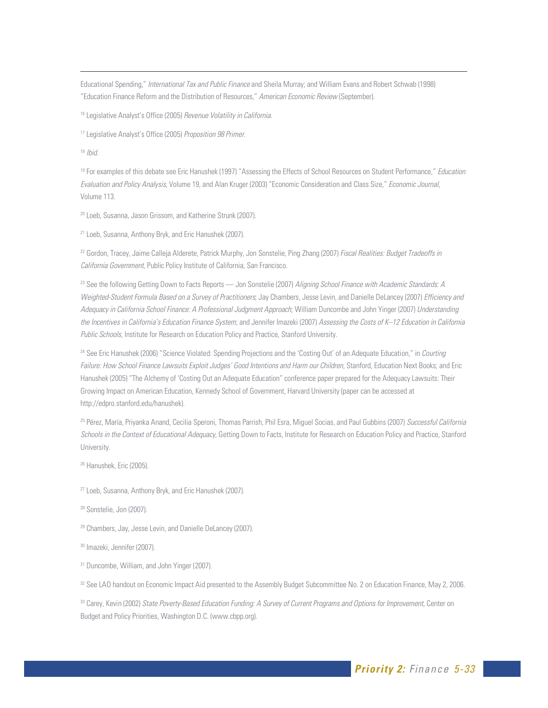Educational Spending," International Tax and Public Finance and Sheila Murray; and William Evans and Robert Schwab (1998) "Education Finance Reform and the Distribution of Resources," American Economic Review (September).

<sup>16</sup> Legislative Analyst's Office (2005) Revenue Volatility in California.

<sup>17</sup> Legislative Analyst's Office (2005) Proposition 98 Primer.

 $18$  Ibid.

-

<sup>19</sup> For examples of this debate see Eric Hanushek (1997) "Assessing the Effects of School Resources on Student Performance," Education Evaluation and Policy Analysis, Volume 19, and Alan Kruger (2003) "Economic Consideration and Class Size," Economic Journal, Volume 113.

<sup>20</sup> Loeb, Susanna, Jason Grissom, and Katherine Strunk (2007).

21 Loeb, Susanna, Anthony Bryk, and Eric Hanushek (2007).

<sup>22</sup> Gordon, Tracey, Jaime Calleja Alderete, Patrick Murphy, Jon Sonstelie, Ping Zhang (2007) Fiscal Realities: Budget Tradeoffs in California Government, Public Policy Institute of California, San Francisco.

<sup>23</sup> See the following Getting Down to Facts Reports — Jon Sonstelie (2007) Aligning School Finance with Academic Standards: A Weighted-Student Formula Based on a Survey of Practitioners; Jay Chambers, Jesse Levin, and Danielle DeLancey (2007) Efficiency and Adequacy in California School Finance: A Professional Judgment Approach; William Duncombe and John Yinger (2007) Understanding the Incentives in California's Education Finance System; and Jennifer Imazeki (2007) Assessing the Costs of K-12 Education in California Public Schools, Institute for Research on Education Policy and Practice, Stanford University.

<sup>24</sup> See Eric Hanushek (2006) "Science Violated: Spending Projections and the 'Costing Out' of an Adequate Education," in Courting Failure: How School Finance Lawsuits Exploit Judges' Good Intentions and Harm our Children, Stanford, Education Next Books; and Eric Hanushek (2005) "The Alchemy of 'Costing Out an Adequate Education" conference paper prepared for the Adequacy Lawsuits: Their Growing Impact on American Education, Kennedy School of Government, Harvard University (paper can be accessed at http://edpro.stanford.edu/hanushek).

<sup>25</sup> Pérez, María, Priyanka Anand, Cecilia Speroni, Thomas Parrish, Phil Esra, Miguel Socias, and Paul Gubbins (2007) Successful California Schools in the Context of Educational Adequacy, Getting Down to Facts, Institute for Research on Education Policy and Practice, Stanford University.

<sup>26</sup> Hanushek, Eric (2005).

27 Loeb, Susanna, Anthony Bryk, and Eric Hanushek (2007).

28 Sonstelie, Jon (2007).

<sup>29</sup> Chambers, Jay, Jesse Levin, and Danielle DeLancey (2007).

30 Imazeki, Jennifer (2007).

<sup>31</sup> Duncombe, William, and John Yinger (2007).

<sup>32</sup> See LAO handout on Economic Impact Aid presented to the Assembly Budget Subcommittee No. 2 on Education Finance, May 2, 2006.

<sup>33</sup> Carey, Kevin (2002) State Poverty-Based Education Funding: A Survey of Current Programs and Options for Improvement, Center on Budget and Policy Priorities, Washington D.C. (www.cbpp.org).